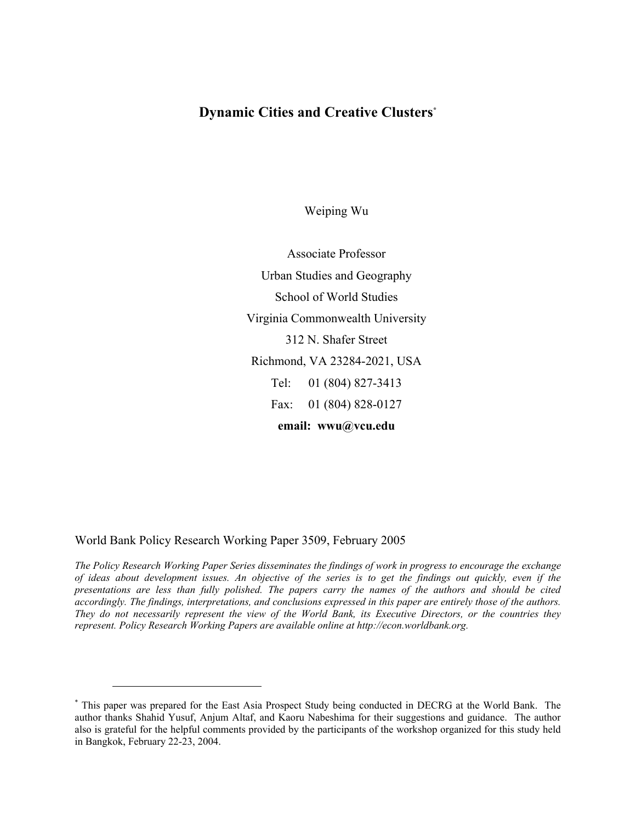## **Dynamic Cities and Creative Clusters\***

Weiping Wu

Associate Professor Urban Studies and Geography School of World Studies Virginia Commonwealth University 312 N. Shafer Street Richmond, VA 23284-2021, USA Tel: 01 (804) 827-3413 Fax: 01 (804) 828-0127 **email: wwu@vcu.edu** 

World Bank Policy Research Working Paper 3509, February 2005

 $\overline{a}$ 

*The Policy Research Working Paper Series disseminates the findings of work in progress to encourage the exchange of ideas about development issues. An objective of the series is to get the findings out quickly, even if the presentations are less than fully polished. The papers carry the names of the authors and should be cited accordingly. The findings, interpretations, and conclusions expressed in this paper are entirely those of the authors. They do not necessarily represent the view of the World Bank, its Executive Directors, or the countries they represent. Policy Research Working Papers are available online at http://econ.worldbank.org.* 

<sup>\*</sup> This paper was prepared for the East Asia Prospect Study being conducted in DECRG at the World Bank. The author thanks Shahid Yusuf, Anjum Altaf, and Kaoru Nabeshima for their suggestions and guidance. The author also is grateful for the helpful comments provided by the participants of the workshop organized for this study held in Bangkok, February 22-23, 2004.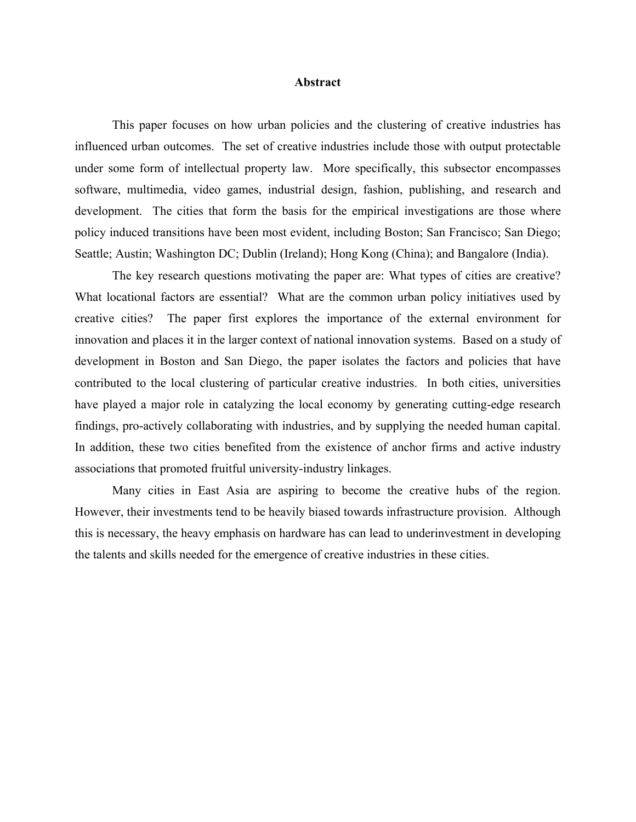#### **Abstract**

This paper focuses on how urban policies and the clustering of creative industries has influenced urban outcomes. The set of creative industries include those with output protectable under some form of intellectual property law. More specifically, this subsector encompasses software, multimedia, video games, industrial design, fashion, publishing, and research and development. The cities that form the basis for the empirical investigations are those where policy induced transitions have been most evident, including Boston; San Francisco; San Diego; Seattle; Austin; Washington DC; Dublin (Ireland); Hong Kong (China); and Bangalore (India).

The key research questions motivating the paper are: What types of cities are creative? What locational factors are essential? What are the common urban policy initiatives used by creative cities? The paper first explores the importance of the external environment for innovation and places it in the larger context of national innovation systems. Based on a study of development in Boston and San Diego, the paper isolates the factors and policies that have contributed to the local clustering of particular creative industries. In both cities, universities have played a major role in catalyzing the local economy by generating cutting-edge research findings, pro-actively collaborating with industries, and by supplying the needed human capital. In addition, these two cities benefited from the existence of anchor firms and active industry associations that promoted fruitful university-industry linkages.

Many cities in East Asia are aspiring to become the creative hubs of the region. However, their investments tend to be heavily biased towards infrastructure provision. Although this is necessary, the heavy emphasis on hardware has can lead to underinvestment in developing the talents and skills needed for the emergence of creative industries in these cities.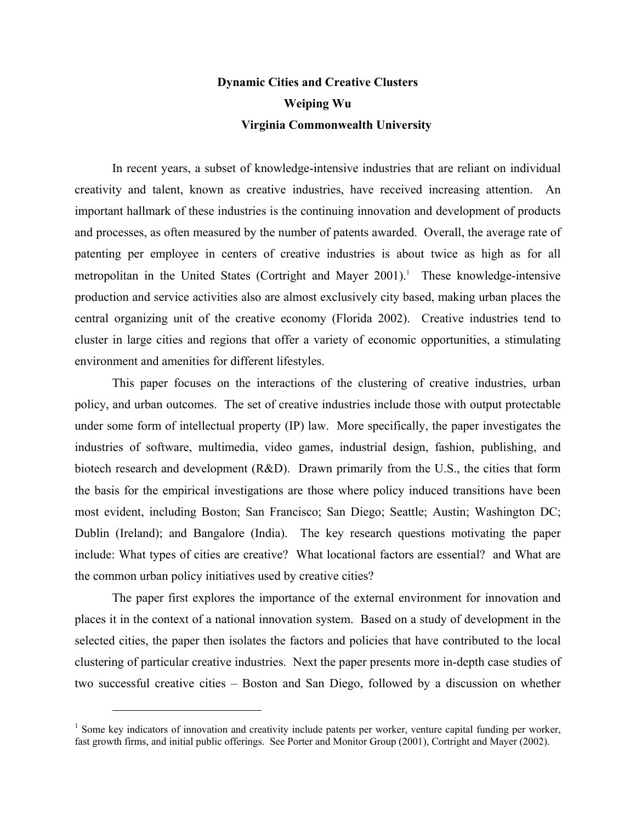# **Dynamic Cities and Creative Clusters Weiping Wu Virginia Commonwealth University**

In recent years, a subset of knowledge-intensive industries that are reliant on individual creativity and talent, known as creative industries, have received increasing attention. An important hallmark of these industries is the continuing innovation and development of products and processes, as often measured by the number of patents awarded. Overall, the average rate of patenting per employee in centers of creative industries is about twice as high as for all metropolitan in the United States (Cortright and Mayer 2001).<sup>1</sup> These knowledge-intensive production and service activities also are almost exclusively city based, making urban places the central organizing unit of the creative economy (Florida 2002). Creative industries tend to cluster in large cities and regions that offer a variety of economic opportunities, a stimulating environment and amenities for different lifestyles.

This paper focuses on the interactions of the clustering of creative industries, urban policy, and urban outcomes. The set of creative industries include those with output protectable under some form of intellectual property (IP) law. More specifically, the paper investigates the industries of software, multimedia, video games, industrial design, fashion, publishing, and biotech research and development (R&D). Drawn primarily from the U.S., the cities that form the basis for the empirical investigations are those where policy induced transitions have been most evident, including Boston; San Francisco; San Diego; Seattle; Austin; Washington DC; Dublin (Ireland); and Bangalore (India). The key research questions motivating the paper include: What types of cities are creative? What locational factors are essential? and What are the common urban policy initiatives used by creative cities?

The paper first explores the importance of the external environment for innovation and places it in the context of a national innovation system. Based on a study of development in the selected cities, the paper then isolates the factors and policies that have contributed to the local clustering of particular creative industries. Next the paper presents more in-depth case studies of two successful creative cities – Boston and San Diego, followed by a discussion on whether

<sup>&</sup>lt;sup>1</sup> Some key indicators of innovation and creativity include patents per worker, venture capital funding per worker, fast growth firms, and initial public offerings. See Porter and Monitor Group (2001), Cortright and Mayer (2002).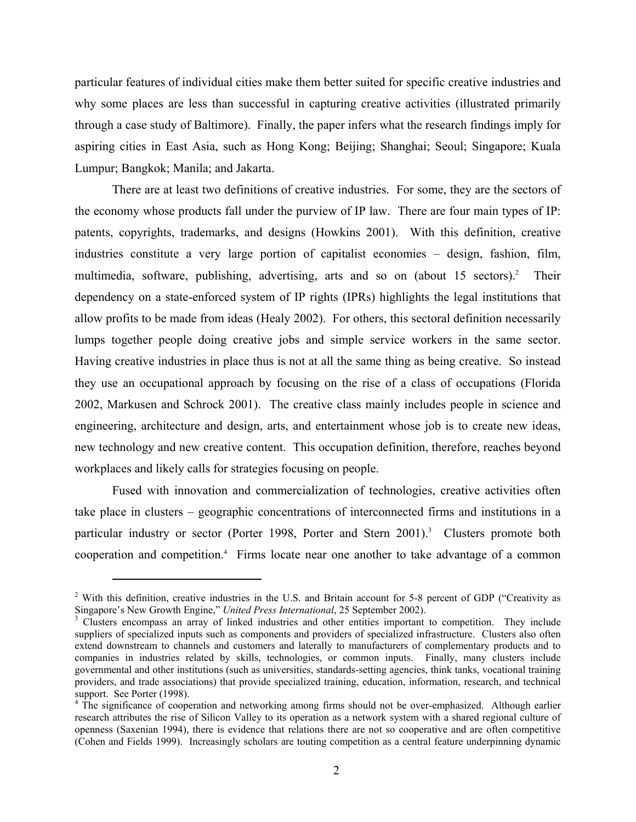particular features of individual cities make them better suited for specific creative industries and why some places are less than successful in capturing creative activities (illustrated primarily through a case study of Baltimore). Finally, the paper infers what the research findings imply for aspiring cities in East Asia, such as Hong Kong; Beijing; Shanghai; Seoul; Singapore; Kuala Lumpur; Bangkok; Manila; and Jakarta.

There are at least two definitions of creative industries. For some, they are the sectors of the economy whose products fall under the purview of IP law. There are four main types of IP: patents, copyrights, trademarks, and designs (Howkins 2001). With this definition, creative industries constitute a very large portion of capitalist economies – design, fashion, film, multimedia, software, publishing, advertising, arts and so on (about 15 sectors).<sup>2</sup> Their dependency on a state-enforced system of IP rights (IPRs) highlights the legal institutions that allow profits to be made from ideas (Healy 2002). For others, this sectoral definition necessarily lumps together people doing creative jobs and simple service workers in the same sector. Having creative industries in place thus is not at all the same thing as being creative. So instead they use an occupational approach by focusing on the rise of a class of occupations (Florida 2002, Markusen and Schrock 2001). The creative class mainly includes people in science and engineering, architecture and design, arts, and entertainment whose job is to create new ideas, new technology and new creative content. This occupation definition, therefore, reaches beyond workplaces and likely calls for strategies focusing on people.

Fused with innovation and commercialization of technologies, creative activities often take place in clusters – geographic concentrations of interconnected firms and institutions in a particular industry or sector (Porter 1998, Porter and Stern 2001).<sup>3</sup> Clusters promote both cooperation and competition.4 Firms locate near one another to take advantage of a common

<sup>&</sup>lt;sup>2</sup> With this definition, creative industries in the U.S. and Britain account for 5-8 percent of GDP ("Creativity as Singapore's New Growth Engine," *United Press International*, 25 September 2002). 3

<sup>&</sup>lt;sup>3</sup> Clusters encompass an array of linked industries and other entities important to competition. They include suppliers of specialized inputs such as components and providers of specialized infrastructure. Clusters also often extend downstream to channels and customers and laterally to manufacturers of complementary products and to companies in industries related by skills, technologies, or common inputs. Finally, many clusters include governmental and other institutions (such as universities, standards-setting agencies, think tanks, vocational training providers, and trade associations) that provide specialized training, education, information, research, and technical support. See Porter (1998).

<sup>&</sup>lt;sup>4</sup> The significance of cooperation and networking among firms should not be over-emphasized. Although earlier research attributes the rise of Silicon Valley to its operation as a network system with a shared regional culture of openness (Saxenian 1994), there is evidence that relations there are not so cooperative and are often competitive (Cohen and Fields 1999). Increasingly scholars are touting competition as a central feature underpinning dynamic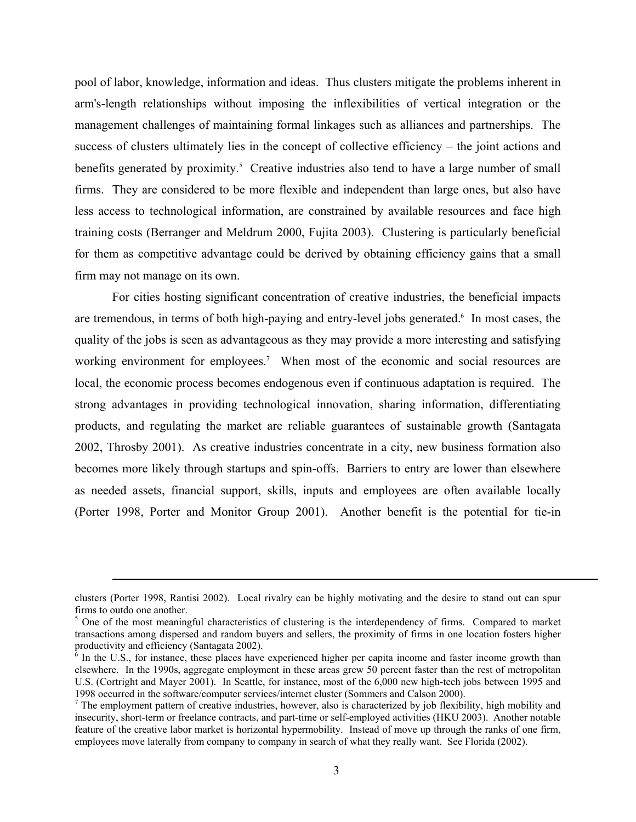pool of labor, knowledge, information and ideas. Thus clusters mitigate the problems inherent in arm's-length relationships without imposing the inflexibilities of vertical integration or the management challenges of maintaining formal linkages such as alliances and partnerships. The success of clusters ultimately lies in the concept of collective efficiency – the joint actions and benefits generated by proximity.<sup>5</sup> Creative industries also tend to have a large number of small firms. They are considered to be more flexible and independent than large ones, but also have less access to technological information, are constrained by available resources and face high training costs (Berranger and Meldrum 2000, Fujita 2003). Clustering is particularly beneficial for them as competitive advantage could be derived by obtaining efficiency gains that a small firm may not manage on its own.

For cities hosting significant concentration of creative industries, the beneficial impacts are tremendous, in terms of both high-paying and entry-level jobs generated.<sup>6</sup> In most cases, the quality of the jobs is seen as advantageous as they may provide a more interesting and satisfying working environment for employees.<sup>7</sup> When most of the economic and social resources are local, the economic process becomes endogenous even if continuous adaptation is required. The strong advantages in providing technological innovation, sharing information, differentiating products, and regulating the market are reliable guarantees of sustainable growth (Santagata 2002, Throsby 2001). As creative industries concentrate in a city, new business formation also becomes more likely through startups and spin-offs. Barriers to entry are lower than elsewhere as needed assets, financial support, skills, inputs and employees are often available locally (Porter 1998, Porter and Monitor Group 2001). Another benefit is the potential for tie-in

clusters (Porter 1998, Rantisi 2002). Local rivalry can be highly motivating and the desire to stand out can spur firms to outdo one another.

<sup>&</sup>lt;sup>5</sup> One of the most meaningful characteristics of clustering is the interdependency of firms. Compared to market transactions among dispersed and random buyers and sellers, the proximity of firms in one location fosters higher productivity and efficiency (Santagata 2002).

 $\overline{6}$  In the U.S., for instance, these places have experienced higher per capita income and faster income growth than elsewhere. In the 1990s, aggregate employment in these areas grew 50 percent faster than the rest of metropolitan U.S. (Cortright and Mayer 2001). In Seattle, for instance, most of the 6,000 new high-tech jobs between 1995 and 1998 occurred in the software/computer services/internet cluster (Sommers and Calson 2000).

 $<sup>7</sup>$  The employment pattern of creative industries, however, also is characterized by job flexibility, high mobility and</sup> insecurity, short-term or freelance contracts, and part-time or self-employed activities (HKU 2003). Another notable feature of the creative labor market is horizontal hypermobility. Instead of move up through the ranks of one firm, employees move laterally from company to company in search of what they really want. See Florida (2002).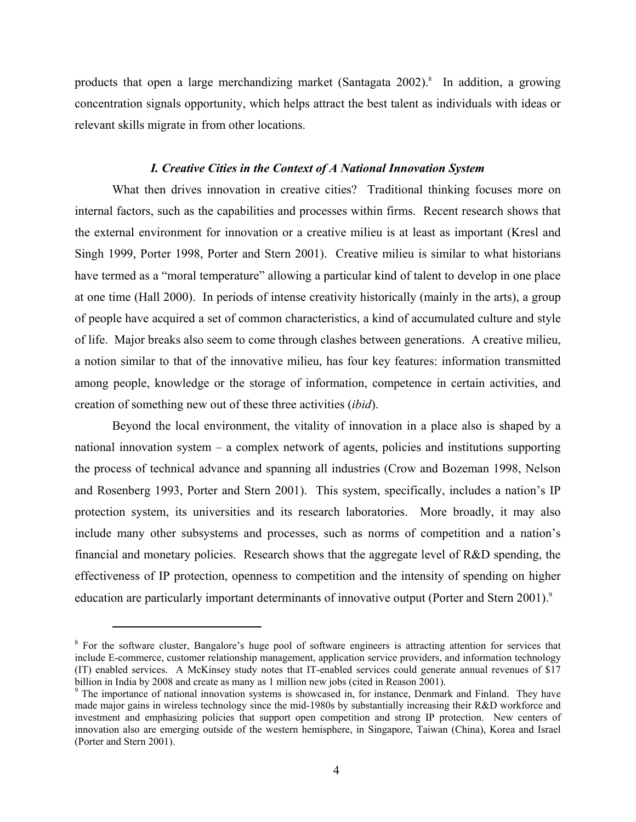products that open a large merchandizing market (Santagata 2002).<sup>8</sup> In addition, a growing concentration signals opportunity, which helps attract the best talent as individuals with ideas or relevant skills migrate in from other locations.

### *I. Creative Cities in the Context of A National Innovation System*

What then drives innovation in creative cities? Traditional thinking focuses more on internal factors, such as the capabilities and processes within firms. Recent research shows that the external environment for innovation or a creative milieu is at least as important (Kresl and Singh 1999, Porter 1998, Porter and Stern 2001). Creative milieu is similar to what historians have termed as a "moral temperature" allowing a particular kind of talent to develop in one place at one time (Hall 2000). In periods of intense creativity historically (mainly in the arts), a group of people have acquired a set of common characteristics, a kind of accumulated culture and style of life. Major breaks also seem to come through clashes between generations. A creative milieu, a notion similar to that of the innovative milieu, has four key features: information transmitted among people, knowledge or the storage of information, competence in certain activities, and creation of something new out of these three activities (*ibid*).

Beyond the local environment, the vitality of innovation in a place also is shaped by a national innovation system – a complex network of agents, policies and institutions supporting the process of technical advance and spanning all industries (Crow and Bozeman 1998, Nelson and Rosenberg 1993, Porter and Stern 2001). This system, specifically, includes a nation's IP protection system, its universities and its research laboratories. More broadly, it may also include many other subsystems and processes, such as norms of competition and a nation's financial and monetary policies. Research shows that the aggregate level of R&D spending, the effectiveness of IP protection, openness to competition and the intensity of spending on higher education are particularly important determinants of innovative output (Porter and Stern 2001).<sup>9</sup>

1

<sup>&</sup>lt;sup>8</sup> For the software cluster, Bangalore's huge pool of software engineers is attracting attention for services that include E-commerce, customer relationship management, application service providers, and information technology (IT) enabled services. A McKinsey study notes that IT-enabled services could generate annual revenues of \$17 billion in India by 2008 and create as many as 1 million new jobs (cited in Reason 2001).

<sup>&</sup>lt;sup>9</sup> The importance of national innovation systems is showcased in, for instance, Denmark and Finland. They have made major gains in wireless technology since the mid-1980s by substantially increasing their R&D workforce and investment and emphasizing policies that support open competition and strong IP protection. New centers of innovation also are emerging outside of the western hemisphere, in Singapore, Taiwan (China), Korea and Israel (Porter and Stern 2001).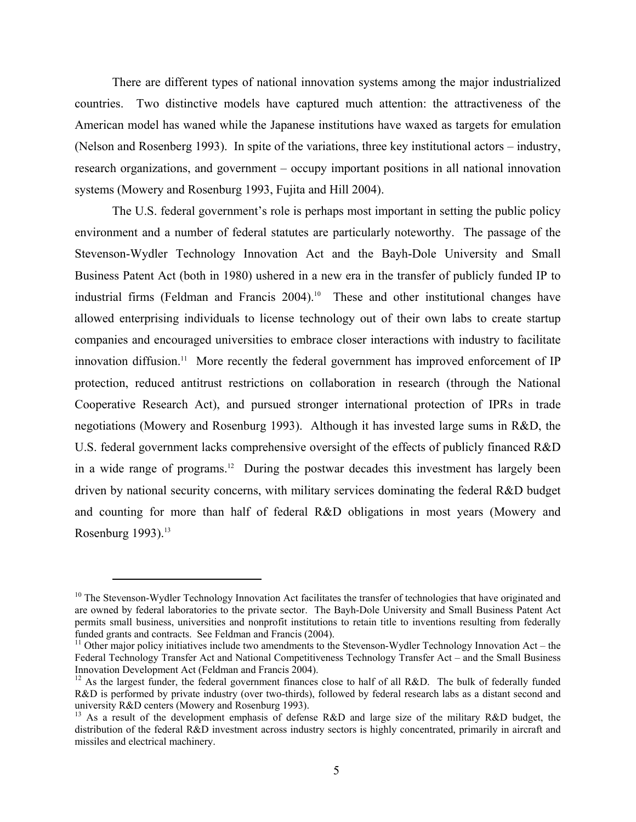There are different types of national innovation systems among the major industrialized countries. Two distinctive models have captured much attention: the attractiveness of the American model has waned while the Japanese institutions have waxed as targets for emulation (Nelson and Rosenberg 1993). In spite of the variations, three key institutional actors – industry, research organizations, and government – occupy important positions in all national innovation systems (Mowery and Rosenburg 1993, Fujita and Hill 2004).

The U.S. federal government's role is perhaps most important in setting the public policy environment and a number of federal statutes are particularly noteworthy. The passage of the Stevenson-Wydler Technology Innovation Act and the Bayh-Dole University and Small Business Patent Act (both in 1980) ushered in a new era in the transfer of publicly funded IP to industrial firms (Feldman and Francis 2004).<sup>10</sup> These and other institutional changes have allowed enterprising individuals to license technology out of their own labs to create startup companies and encouraged universities to embrace closer interactions with industry to facilitate innovation diffusion.<sup>11</sup> More recently the federal government has improved enforcement of IP protection, reduced antitrust restrictions on collaboration in research (through the National Cooperative Research Act), and pursued stronger international protection of IPRs in trade negotiations (Mowery and Rosenburg 1993). Although it has invested large sums in R&D, the U.S. federal government lacks comprehensive oversight of the effects of publicly financed R&D in a wide range of programs.<sup>12</sup> During the postwar decades this investment has largely been driven by national security concerns, with military services dominating the federal R&D budget and counting for more than half of federal R&D obligations in most years (Mowery and Rosenburg  $1993$ ).<sup>13</sup>

 $10$  The Stevenson-Wydler Technology Innovation Act facilitates the transfer of technologies that have originated and are owned by federal laboratories to the private sector. The Bayh-Dole University and Small Business Patent Act permits small business, universities and nonprofit institutions to retain title to inventions resulting from federally funded grants and contracts. See Feldman and Francis (2004).

 $11$  Other major policy initiatives include two amendments to the Stevenson-Wydler Technology Innovation Act – the Federal Technology Transfer Act and National Competitiveness Technology Transfer Act – and the Small Business Innovation Development Act (Feldman and Francis 2004).

<sup>&</sup>lt;sup>12</sup> As the largest funder, the federal government finances close to half of all R&D. The bulk of federally funded R&D is performed by private industry (over two-thirds), followed by federal research labs as a distant second and university R&D centers (Mowery and Rosenburg 1993).

<sup>&</sup>lt;sup>13</sup> As a result of the development emphasis of defense R&D and large size of the military R&D budget, the distribution of the federal R&D investment across industry sectors is highly concentrated, primarily in aircraft and missiles and electrical machinery.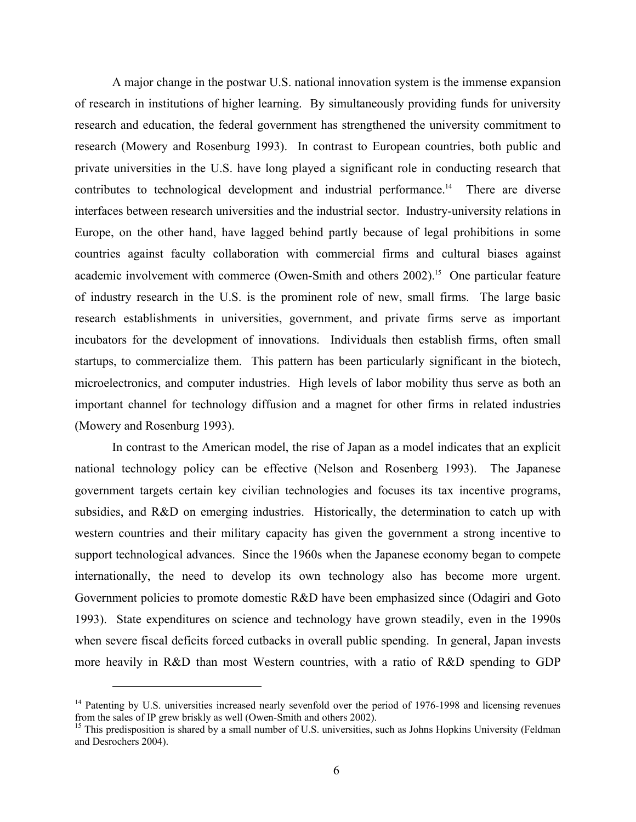A major change in the postwar U.S. national innovation system is the immense expansion of research in institutions of higher learning. By simultaneously providing funds for university research and education, the federal government has strengthened the university commitment to research (Mowery and Rosenburg 1993). In contrast to European countries, both public and private universities in the U.S. have long played a significant role in conducting research that contributes to technological development and industrial performance.<sup>14</sup> There are diverse interfaces between research universities and the industrial sector. Industry-university relations in Europe, on the other hand, have lagged behind partly because of legal prohibitions in some countries against faculty collaboration with commercial firms and cultural biases against academic involvement with commerce (Owen-Smith and others 2002).<sup>15</sup> One particular feature of industry research in the U.S. is the prominent role of new, small firms. The large basic research establishments in universities, government, and private firms serve as important incubators for the development of innovations. Individuals then establish firms, often small startups, to commercialize them. This pattern has been particularly significant in the biotech, microelectronics, and computer industries. High levels of labor mobility thus serve as both an important channel for technology diffusion and a magnet for other firms in related industries (Mowery and Rosenburg 1993).

In contrast to the American model, the rise of Japan as a model indicates that an explicit national technology policy can be effective (Nelson and Rosenberg 1993). The Japanese government targets certain key civilian technologies and focuses its tax incentive programs, subsidies, and R&D on emerging industries. Historically, the determination to catch up with western countries and their military capacity has given the government a strong incentive to support technological advances. Since the 1960s when the Japanese economy began to compete internationally, the need to develop its own technology also has become more urgent. Government policies to promote domestic R&D have been emphasized since (Odagiri and Goto 1993). State expenditures on science and technology have grown steadily, even in the 1990s when severe fiscal deficits forced cutbacks in overall public spending. In general, Japan invests more heavily in R&D than most Western countries, with a ratio of R&D spending to GDP

<sup>&</sup>lt;sup>14</sup> Patenting by U.S. universities increased nearly sevenfold over the period of 1976-1998 and licensing revenues from the sales of IP grew briskly as well (Owen-Smith and others 2002).

<sup>&</sup>lt;sup>15</sup> This predisposition is shared by a small number of U.S. universities, such as Johns Hopkins University (Feldman and Desrochers 2004).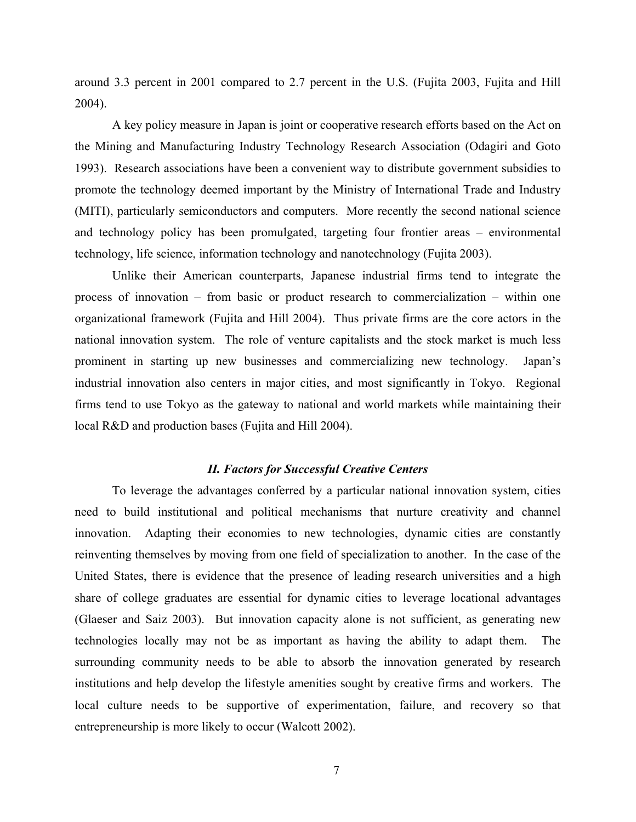around 3.3 percent in 2001 compared to 2.7 percent in the U.S. (Fujita 2003, Fujita and Hill 2004).

A key policy measure in Japan is joint or cooperative research efforts based on the Act on the Mining and Manufacturing Industry Technology Research Association (Odagiri and Goto 1993). Research associations have been a convenient way to distribute government subsidies to promote the technology deemed important by the Ministry of International Trade and Industry (MITI), particularly semiconductors and computers. More recently the second national science and technology policy has been promulgated, targeting four frontier areas – environmental technology, life science, information technology and nanotechnology (Fujita 2003).

Unlike their American counterparts, Japanese industrial firms tend to integrate the process of innovation – from basic or product research to commercialization – within one organizational framework (Fujita and Hill 2004). Thus private firms are the core actors in the national innovation system. The role of venture capitalists and the stock market is much less prominent in starting up new businesses and commercializing new technology. Japan's industrial innovation also centers in major cities, and most significantly in Tokyo. Regional firms tend to use Tokyo as the gateway to national and world markets while maintaining their local R&D and production bases (Fujita and Hill 2004).

### *II. Factors for Successful Creative Centers*

To leverage the advantages conferred by a particular national innovation system, cities need to build institutional and political mechanisms that nurture creativity and channel innovation. Adapting their economies to new technologies, dynamic cities are constantly reinventing themselves by moving from one field of specialization to another. In the case of the United States, there is evidence that the presence of leading research universities and a high share of college graduates are essential for dynamic cities to leverage locational advantages (Glaeser and Saiz 2003). But innovation capacity alone is not sufficient, as generating new technologies locally may not be as important as having the ability to adapt them. The surrounding community needs to be able to absorb the innovation generated by research institutions and help develop the lifestyle amenities sought by creative firms and workers. The local culture needs to be supportive of experimentation, failure, and recovery so that entrepreneurship is more likely to occur (Walcott 2002).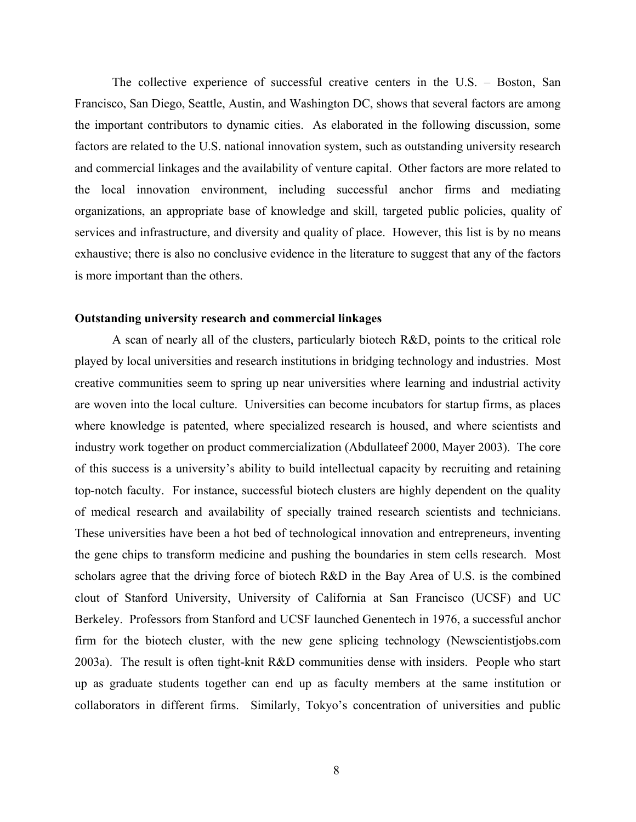The collective experience of successful creative centers in the U.S. – Boston, San Francisco, San Diego, Seattle, Austin, and Washington DC, shows that several factors are among the important contributors to dynamic cities. As elaborated in the following discussion, some factors are related to the U.S. national innovation system, such as outstanding university research and commercial linkages and the availability of venture capital. Other factors are more related to the local innovation environment, including successful anchor firms and mediating organizations, an appropriate base of knowledge and skill, targeted public policies, quality of services and infrastructure, and diversity and quality of place. However, this list is by no means exhaustive; there is also no conclusive evidence in the literature to suggest that any of the factors is more important than the others.

#### **Outstanding university research and commercial linkages**

A scan of nearly all of the clusters, particularly biotech R&D, points to the critical role played by local universities and research institutions in bridging technology and industries. Most creative communities seem to spring up near universities where learning and industrial activity are woven into the local culture. Universities can become incubators for startup firms, as places where knowledge is patented, where specialized research is housed, and where scientists and industry work together on product commercialization (Abdullateef 2000, Mayer 2003). The core of this success is a university's ability to build intellectual capacity by recruiting and retaining top-notch faculty. For instance, successful biotech clusters are highly dependent on the quality of medical research and availability of specially trained research scientists and technicians. These universities have been a hot bed of technological innovation and entrepreneurs, inventing the gene chips to transform medicine and pushing the boundaries in stem cells research. Most scholars agree that the driving force of biotech R&D in the Bay Area of U.S. is the combined clout of Stanford University, University of California at San Francisco (UCSF) and UC Berkeley. Professors from Stanford and UCSF launched Genentech in 1976, a successful anchor firm for the biotech cluster, with the new gene splicing technology (Newscientistjobs.com 2003a). The result is often tight-knit R&D communities dense with insiders. People who start up as graduate students together can end up as faculty members at the same institution or collaborators in different firms. Similarly, Tokyo's concentration of universities and public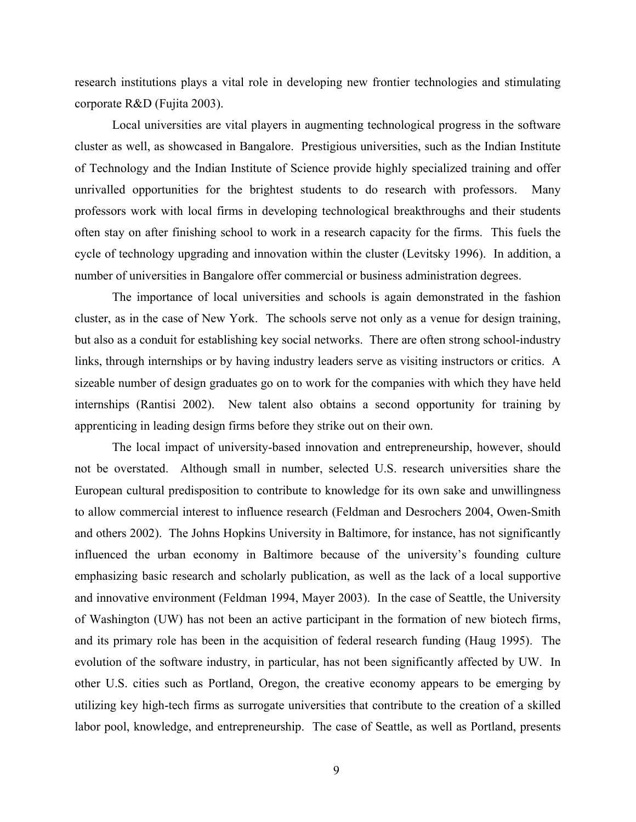research institutions plays a vital role in developing new frontier technologies and stimulating corporate R&D (Fujita 2003).

Local universities are vital players in augmenting technological progress in the software cluster as well, as showcased in Bangalore. Prestigious universities, such as the Indian Institute of Technology and the Indian Institute of Science provide highly specialized training and offer unrivalled opportunities for the brightest students to do research with professors. Many professors work with local firms in developing technological breakthroughs and their students often stay on after finishing school to work in a research capacity for the firms. This fuels the cycle of technology upgrading and innovation within the cluster (Levitsky 1996). In addition, a number of universities in Bangalore offer commercial or business administration degrees.

The importance of local universities and schools is again demonstrated in the fashion cluster, as in the case of New York. The schools serve not only as a venue for design training, but also as a conduit for establishing key social networks. There are often strong school-industry links, through internships or by having industry leaders serve as visiting instructors or critics. A sizeable number of design graduates go on to work for the companies with which they have held internships (Rantisi 2002). New talent also obtains a second opportunity for training by apprenticing in leading design firms before they strike out on their own.

The local impact of university-based innovation and entrepreneurship, however, should not be overstated. Although small in number, selected U.S. research universities share the European cultural predisposition to contribute to knowledge for its own sake and unwillingness to allow commercial interest to influence research (Feldman and Desrochers 2004, Owen-Smith and others 2002). The Johns Hopkins University in Baltimore, for instance, has not significantly influenced the urban economy in Baltimore because of the university's founding culture emphasizing basic research and scholarly publication, as well as the lack of a local supportive and innovative environment (Feldman 1994, Mayer 2003). In the case of Seattle, the University of Washington (UW) has not been an active participant in the formation of new biotech firms, and its primary role has been in the acquisition of federal research funding (Haug 1995). The evolution of the software industry, in particular, has not been significantly affected by UW. In other U.S. cities such as Portland, Oregon, the creative economy appears to be emerging by utilizing key high-tech firms as surrogate universities that contribute to the creation of a skilled labor pool, knowledge, and entrepreneurship. The case of Seattle, as well as Portland, presents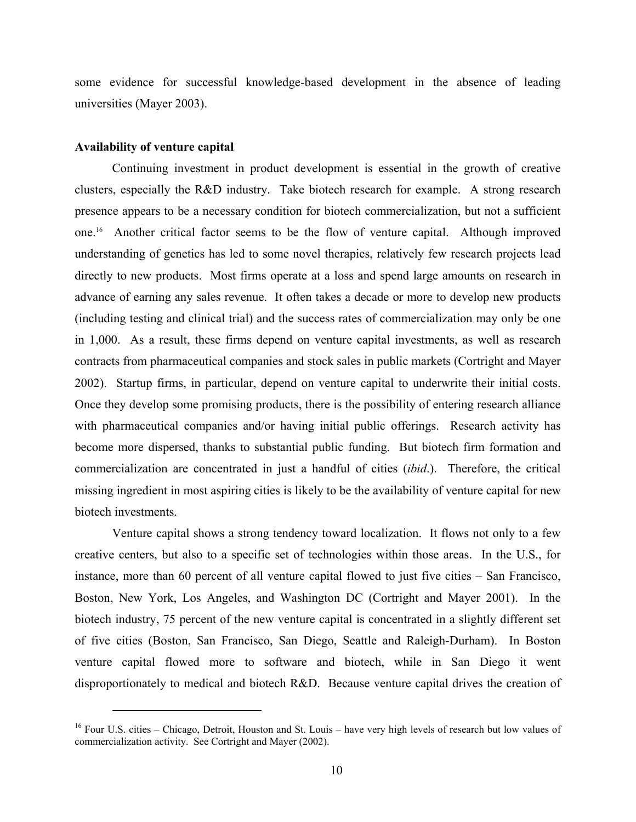some evidence for successful knowledge-based development in the absence of leading universities (Mayer 2003).

### **Availability of venture capital**

 $\overline{a}$ 

Continuing investment in product development is essential in the growth of creative clusters, especially the R&D industry. Take biotech research for example. A strong research presence appears to be a necessary condition for biotech commercialization, but not a sufficient one.16 Another critical factor seems to be the flow of venture capital. Although improved understanding of genetics has led to some novel therapies, relatively few research projects lead directly to new products. Most firms operate at a loss and spend large amounts on research in advance of earning any sales revenue. It often takes a decade or more to develop new products (including testing and clinical trial) and the success rates of commercialization may only be one in 1,000. As a result, these firms depend on venture capital investments, as well as research contracts from pharmaceutical companies and stock sales in public markets (Cortright and Mayer 2002). Startup firms, in particular, depend on venture capital to underwrite their initial costs. Once they develop some promising products, there is the possibility of entering research alliance with pharmaceutical companies and/or having initial public offerings. Research activity has become more dispersed, thanks to substantial public funding. But biotech firm formation and commercialization are concentrated in just a handful of cities (*ibid*.). Therefore, the critical missing ingredient in most aspiring cities is likely to be the availability of venture capital for new biotech investments.

Venture capital shows a strong tendency toward localization. It flows not only to a few creative centers, but also to a specific set of technologies within those areas. In the U.S., for instance, more than 60 percent of all venture capital flowed to just five cities – San Francisco, Boston, New York, Los Angeles, and Washington DC (Cortright and Mayer 2001). In the biotech industry, 75 percent of the new venture capital is concentrated in a slightly different set of five cities (Boston, San Francisco, San Diego, Seattle and Raleigh-Durham). In Boston venture capital flowed more to software and biotech, while in San Diego it went disproportionately to medical and biotech R&D. Because venture capital drives the creation of

<sup>&</sup>lt;sup>16</sup> Four U.S. cities – Chicago, Detroit, Houston and St. Louis – have very high levels of research but low values of commercialization activity. See Cortright and Mayer (2002).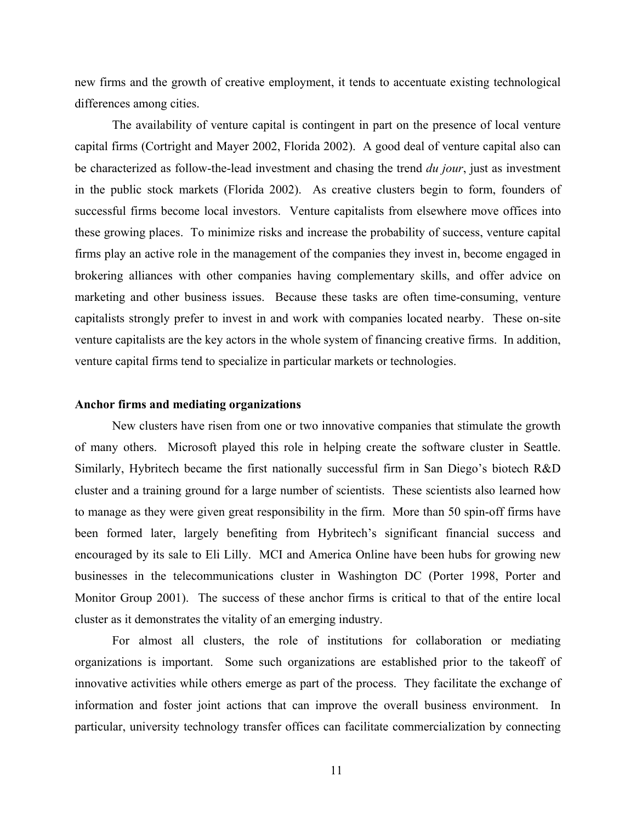new firms and the growth of creative employment, it tends to accentuate existing technological differences among cities.

The availability of venture capital is contingent in part on the presence of local venture capital firms (Cortright and Mayer 2002, Florida 2002). A good deal of venture capital also can be characterized as follow-the-lead investment and chasing the trend *du jour*, just as investment in the public stock markets (Florida 2002). As creative clusters begin to form, founders of successful firms become local investors. Venture capitalists from elsewhere move offices into these growing places. To minimize risks and increase the probability of success, venture capital firms play an active role in the management of the companies they invest in, become engaged in brokering alliances with other companies having complementary skills, and offer advice on marketing and other business issues. Because these tasks are often time-consuming, venture capitalists strongly prefer to invest in and work with companies located nearby. These on-site venture capitalists are the key actors in the whole system of financing creative firms. In addition, venture capital firms tend to specialize in particular markets or technologies.

### **Anchor firms and mediating organizations**

New clusters have risen from one or two innovative companies that stimulate the growth of many others. Microsoft played this role in helping create the software cluster in Seattle. Similarly, Hybritech became the first nationally successful firm in San Diego's biotech R&D cluster and a training ground for a large number of scientists. These scientists also learned how to manage as they were given great responsibility in the firm. More than 50 spin-off firms have been formed later, largely benefiting from Hybritech's significant financial success and encouraged by its sale to Eli Lilly. MCI and America Online have been hubs for growing new businesses in the telecommunications cluster in Washington DC (Porter 1998, Porter and Monitor Group 2001). The success of these anchor firms is critical to that of the entire local cluster as it demonstrates the vitality of an emerging industry.

For almost all clusters, the role of institutions for collaboration or mediating organizations is important. Some such organizations are established prior to the takeoff of innovative activities while others emerge as part of the process. They facilitate the exchange of information and foster joint actions that can improve the overall business environment. In particular, university technology transfer offices can facilitate commercialization by connecting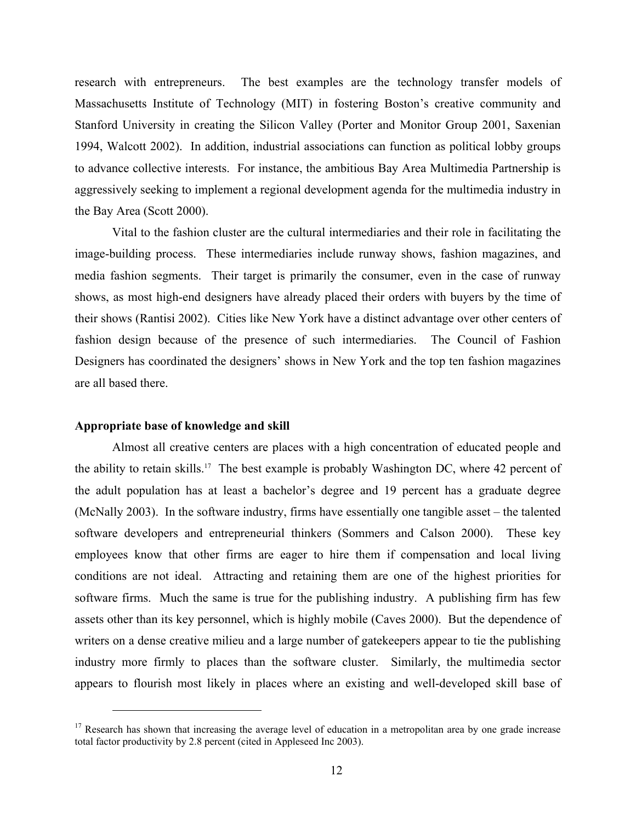research with entrepreneurs. The best examples are the technology transfer models of Massachusetts Institute of Technology (MIT) in fostering Boston's creative community and Stanford University in creating the Silicon Valley (Porter and Monitor Group 2001, Saxenian 1994, Walcott 2002). In addition, industrial associations can function as political lobby groups to advance collective interests. For instance, the ambitious Bay Area Multimedia Partnership is aggressively seeking to implement a regional development agenda for the multimedia industry in the Bay Area (Scott 2000).

Vital to the fashion cluster are the cultural intermediaries and their role in facilitating the image-building process. These intermediaries include runway shows, fashion magazines, and media fashion segments. Their target is primarily the consumer, even in the case of runway shows, as most high-end designers have already placed their orders with buyers by the time of their shows (Rantisi 2002). Cities like New York have a distinct advantage over other centers of fashion design because of the presence of such intermediaries. The Council of Fashion Designers has coordinated the designers' shows in New York and the top ten fashion magazines are all based there.

### **Appropriate base of knowledge and skill**

 $\overline{a}$ 

Almost all creative centers are places with a high concentration of educated people and the ability to retain skills.<sup>17</sup> The best example is probably Washington DC, where 42 percent of the adult population has at least a bachelor's degree and 19 percent has a graduate degree (McNally 2003). In the software industry, firms have essentially one tangible asset – the talented software developers and entrepreneurial thinkers (Sommers and Calson 2000). These key employees know that other firms are eager to hire them if compensation and local living conditions are not ideal. Attracting and retaining them are one of the highest priorities for software firms. Much the same is true for the publishing industry. A publishing firm has few assets other than its key personnel, which is highly mobile (Caves 2000). But the dependence of writers on a dense creative milieu and a large number of gatekeepers appear to tie the publishing industry more firmly to places than the software cluster. Similarly, the multimedia sector appears to flourish most likely in places where an existing and well-developed skill base of

 $17$  Research has shown that increasing the average level of education in a metropolitan area by one grade increase total factor productivity by 2.8 percent (cited in Appleseed Inc 2003).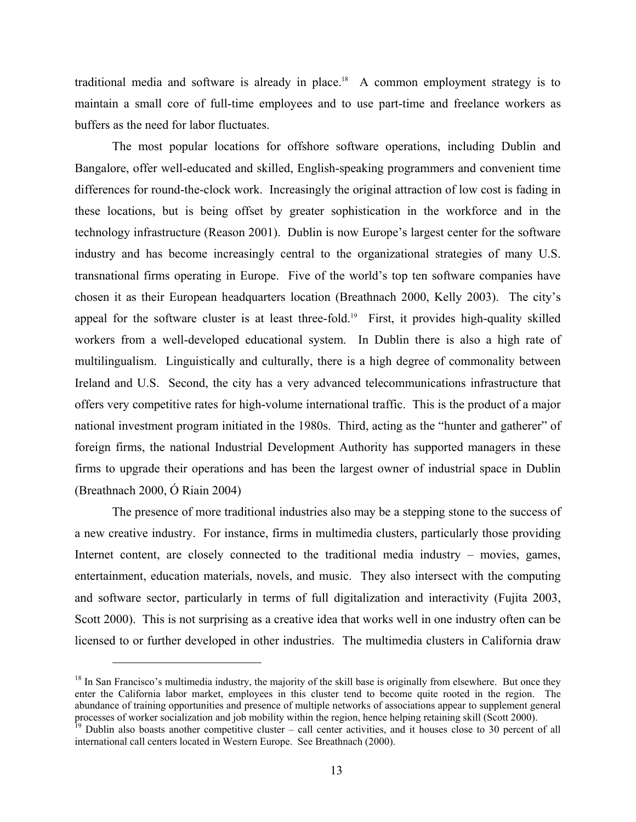traditional media and software is already in place.<sup>18</sup> A common employment strategy is to maintain a small core of full-time employees and to use part-time and freelance workers as buffers as the need for labor fluctuates.

The most popular locations for offshore software operations, including Dublin and Bangalore, offer well-educated and skilled, English-speaking programmers and convenient time differences for round-the-clock work. Increasingly the original attraction of low cost is fading in these locations, but is being offset by greater sophistication in the workforce and in the technology infrastructure (Reason 2001). Dublin is now Europe's largest center for the software industry and has become increasingly central to the organizational strategies of many U.S. transnational firms operating in Europe. Five of the world's top ten software companies have chosen it as their European headquarters location (Breathnach 2000, Kelly 2003). The city's appeal for the software cluster is at least three-fold.<sup>19</sup> First, it provides high-quality skilled workers from a well-developed educational system. In Dublin there is also a high rate of multilingualism. Linguistically and culturally, there is a high degree of commonality between Ireland and U.S. Second, the city has a very advanced telecommunications infrastructure that offers very competitive rates for high-volume international traffic. This is the product of a major national investment program initiated in the 1980s. Third, acting as the "hunter and gatherer" of foreign firms, the national Industrial Development Authority has supported managers in these firms to upgrade their operations and has been the largest owner of industrial space in Dublin (Breathnach 2000, Ó Riain 2004)

The presence of more traditional industries also may be a stepping stone to the success of a new creative industry. For instance, firms in multimedia clusters, particularly those providing Internet content, are closely connected to the traditional media industry – movies, games, entertainment, education materials, novels, and music. They also intersect with the computing and software sector, particularly in terms of full digitalization and interactivity (Fujita 2003, Scott 2000). This is not surprising as a creative idea that works well in one industry often can be licensed to or further developed in other industries. The multimedia clusters in California draw

1

 $18$  In San Francisco's multimedia industry, the majority of the skill base is originally from elsewhere. But once they enter the California labor market, employees in this cluster tend to become quite rooted in the region. The abundance of training opportunities and presence of multiple networks of associations appear to supplement general processes of worker socialization and job mobility within the region, hence helping retaining skill (Scott

<sup>&</sup>lt;sup>19</sup> Dublin also boasts another competitive cluster – call center activities, and it houses close to 30 percent of all international call centers located in Western Europe. See Breathnach (2000).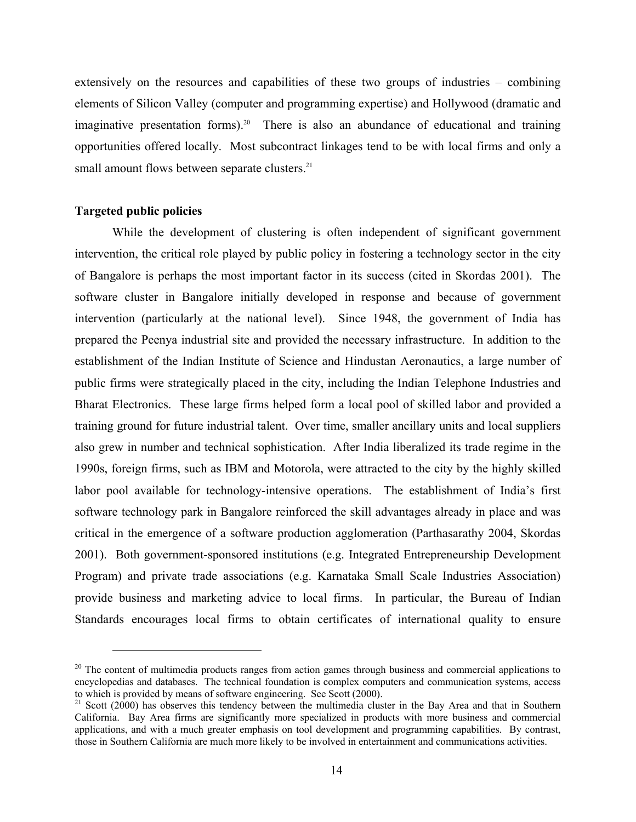extensively on the resources and capabilities of these two groups of industries – combining elements of Silicon Valley (computer and programming expertise) and Hollywood (dramatic and imaginative presentation forms).<sup>20</sup> There is also an abundance of educational and training opportunities offered locally. Most subcontract linkages tend to be with local firms and only a small amount flows between separate clusters.<sup>21</sup>

### **Targeted public policies**

 $\overline{a}$ 

While the development of clustering is often independent of significant government intervention, the critical role played by public policy in fostering a technology sector in the city of Bangalore is perhaps the most important factor in its success (cited in Skordas 2001). The software cluster in Bangalore initially developed in response and because of government intervention (particularly at the national level). Since 1948, the government of India has prepared the Peenya industrial site and provided the necessary infrastructure. In addition to the establishment of the Indian Institute of Science and Hindustan Aeronautics, a large number of public firms were strategically placed in the city, including the Indian Telephone Industries and Bharat Electronics. These large firms helped form a local pool of skilled labor and provided a training ground for future industrial talent. Over time, smaller ancillary units and local suppliers also grew in number and technical sophistication. After India liberalized its trade regime in the 1990s, foreign firms, such as IBM and Motorola, were attracted to the city by the highly skilled labor pool available for technology-intensive operations. The establishment of India's first software technology park in Bangalore reinforced the skill advantages already in place and was critical in the emergence of a software production agglomeration (Parthasarathy 2004, Skordas 2001). Both government-sponsored institutions (e.g. Integrated Entrepreneurship Development Program) and private trade associations (e.g. Karnataka Small Scale Industries Association) provide business and marketing advice to local firms. In particular, the Bureau of Indian Standards encourages local firms to obtain certificates of international quality to ensure

 $20$  The content of multimedia products ranges from action games through business and commercial applications to encyclopedias and databases. The technical foundation is complex computers and communication systems, access to which is provided by means of software engineering. See Scott (2000).

 $21$  Scott (2000) has observes this tendency between the multimedia cluster in the Bay Area and that in Southern California. Bay Area firms are significantly more specialized in products with more business and commercial applications, and with a much greater emphasis on tool development and programming capabilities. By contrast, those in Southern California are much more likely to be involved in entertainment and communications activities.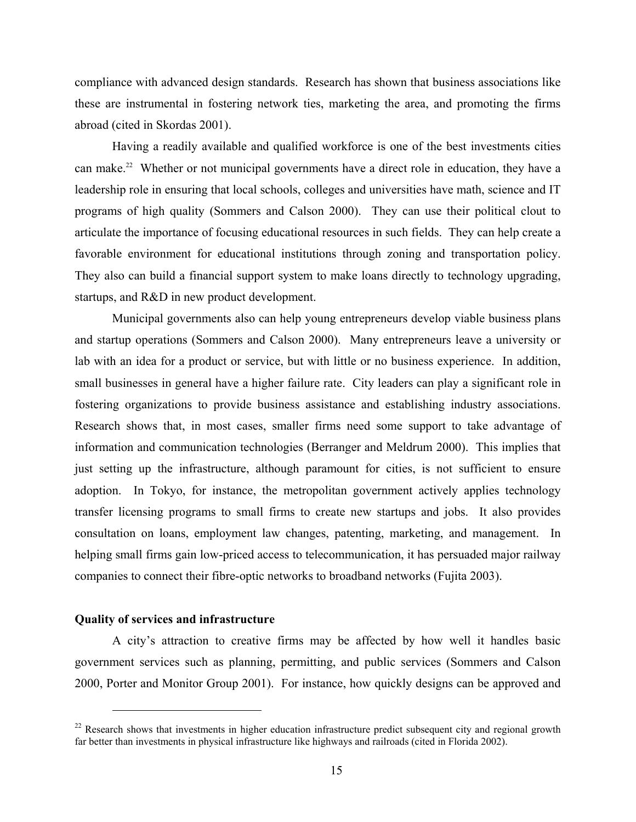compliance with advanced design standards. Research has shown that business associations like these are instrumental in fostering network ties, marketing the area, and promoting the firms abroad (cited in Skordas 2001).

Having a readily available and qualified workforce is one of the best investments cities can make.<sup>22</sup> Whether or not municipal governments have a direct role in education, they have a leadership role in ensuring that local schools, colleges and universities have math, science and IT programs of high quality (Sommers and Calson 2000). They can use their political clout to articulate the importance of focusing educational resources in such fields. They can help create a favorable environment for educational institutions through zoning and transportation policy. They also can build a financial support system to make loans directly to technology upgrading, startups, and R&D in new product development.

Municipal governments also can help young entrepreneurs develop viable business plans and startup operations (Sommers and Calson 2000). Many entrepreneurs leave a university or lab with an idea for a product or service, but with little or no business experience. In addition, small businesses in general have a higher failure rate. City leaders can play a significant role in fostering organizations to provide business assistance and establishing industry associations. Research shows that, in most cases, smaller firms need some support to take advantage of information and communication technologies (Berranger and Meldrum 2000). This implies that just setting up the infrastructure, although paramount for cities, is not sufficient to ensure adoption. In Tokyo, for instance, the metropolitan government actively applies technology transfer licensing programs to small firms to create new startups and jobs. It also provides consultation on loans, employment law changes, patenting, marketing, and management. In helping small firms gain low-priced access to telecommunication, it has persuaded major railway companies to connect their fibre-optic networks to broadband networks (Fujita 2003).

### **Quality of services and infrastructure**

 $\overline{a}$ 

A city's attraction to creative firms may be affected by how well it handles basic government services such as planning, permitting, and public services (Sommers and Calson 2000, Porter and Monitor Group 2001). For instance, how quickly designs can be approved and

<sup>&</sup>lt;sup>22</sup> Research shows that investments in higher education infrastructure predict subsequent city and regional growth far better than investments in physical infrastructure like highways and railroads (cited in Florida 2002).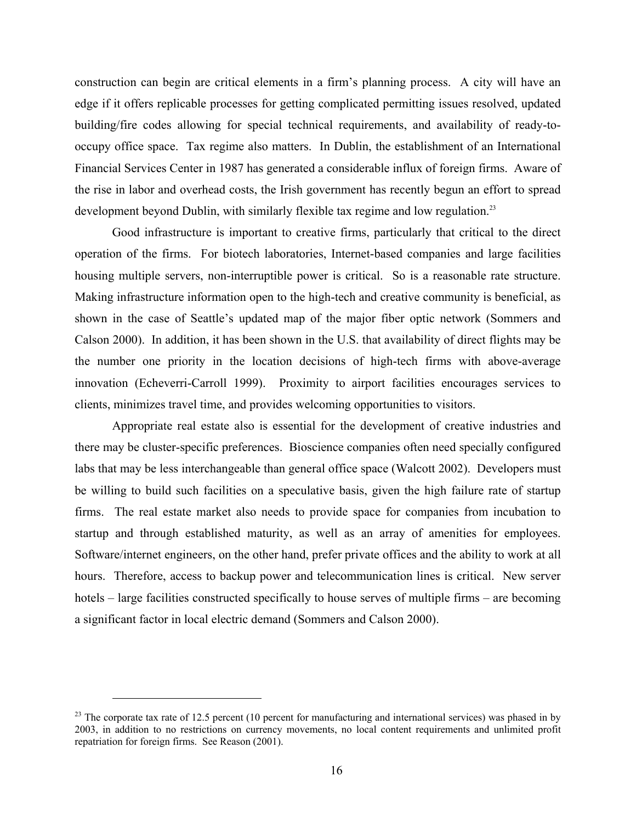construction can begin are critical elements in a firm's planning process. A city will have an edge if it offers replicable processes for getting complicated permitting issues resolved, updated building/fire codes allowing for special technical requirements, and availability of ready-tooccupy office space. Tax regime also matters. In Dublin, the establishment of an International Financial Services Center in 1987 has generated a considerable influx of foreign firms. Aware of the rise in labor and overhead costs, the Irish government has recently begun an effort to spread development beyond Dublin, with similarly flexible tax regime and low regulation.<sup>23</sup>

Good infrastructure is important to creative firms, particularly that critical to the direct operation of the firms. For biotech laboratories, Internet-based companies and large facilities housing multiple servers, non-interruptible power is critical. So is a reasonable rate structure. Making infrastructure information open to the high-tech and creative community is beneficial, as shown in the case of Seattle's updated map of the major fiber optic network (Sommers and Calson 2000). In addition, it has been shown in the U.S. that availability of direct flights may be the number one priority in the location decisions of high-tech firms with above-average innovation (Echeverri-Carroll 1999). Proximity to airport facilities encourages services to clients, minimizes travel time, and provides welcoming opportunities to visitors.

Appropriate real estate also is essential for the development of creative industries and there may be cluster-specific preferences. Bioscience companies often need specially configured labs that may be less interchangeable than general office space (Walcott 2002). Developers must be willing to build such facilities on a speculative basis, given the high failure rate of startup firms. The real estate market also needs to provide space for companies from incubation to startup and through established maturity, as well as an array of amenities for employees. Software/internet engineers, on the other hand, prefer private offices and the ability to work at all hours. Therefore, access to backup power and telecommunication lines is critical. New server hotels – large facilities constructed specifically to house serves of multiple firms – are becoming a significant factor in local electric demand (Sommers and Calson 2000).

<sup>&</sup>lt;sup>23</sup> The corporate tax rate of 12.5 percent (10 percent for manufacturing and international services) was phased in by 2003, in addition to no restrictions on currency movements, no local content requirements and unlimited profit repatriation for foreign firms. See Reason (2001).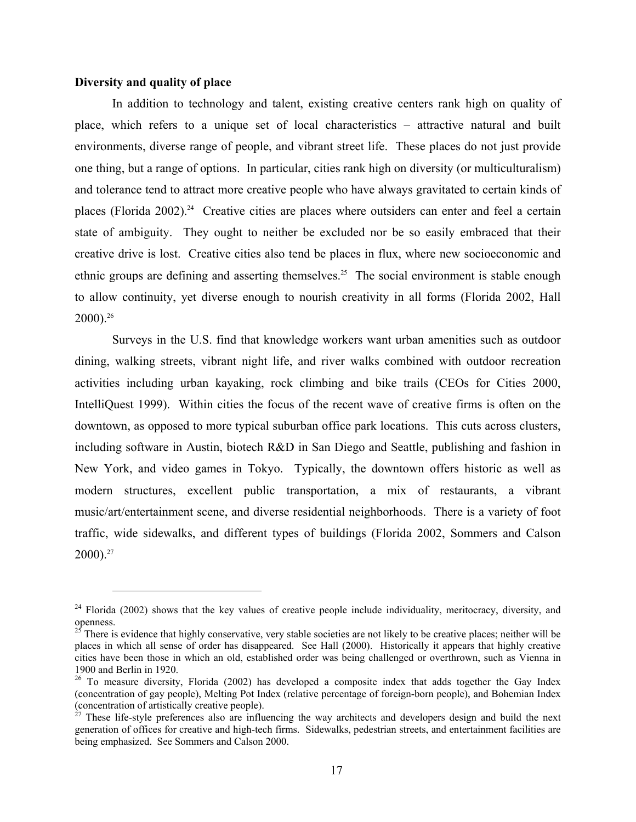### **Diversity and quality of place**

 $\overline{a}$ 

In addition to technology and talent, existing creative centers rank high on quality of place, which refers to a unique set of local characteristics – attractive natural and built environments, diverse range of people, and vibrant street life. These places do not just provide one thing, but a range of options. In particular, cities rank high on diversity (or multiculturalism) and tolerance tend to attract more creative people who have always gravitated to certain kinds of places (Florida 2002).<sup>24</sup> Creative cities are places where outsiders can enter and feel a certain state of ambiguity. They ought to neither be excluded nor be so easily embraced that their creative drive is lost. Creative cities also tend be places in flux, where new socioeconomic and ethnic groups are defining and asserting themselves.<sup>25</sup> The social environment is stable enough to allow continuity, yet diverse enough to nourish creativity in all forms (Florida 2002, Hall 2000).26

Surveys in the U.S. find that knowledge workers want urban amenities such as outdoor dining, walking streets, vibrant night life, and river walks combined with outdoor recreation activities including urban kayaking, rock climbing and bike trails (CEOs for Cities 2000, IntelliQuest 1999). Within cities the focus of the recent wave of creative firms is often on the downtown, as opposed to more typical suburban office park locations. This cuts across clusters, including software in Austin, biotech R&D in San Diego and Seattle, publishing and fashion in New York, and video games in Tokyo. Typically, the downtown offers historic as well as modern structures, excellent public transportation, a mix of restaurants, a vibrant music/art/entertainment scene, and diverse residential neighborhoods. There is a variety of foot traffic, wide sidewalks, and different types of buildings (Florida 2002, Sommers and Calson  $2000$ ).<sup>27</sup>

<sup>&</sup>lt;sup>24</sup> Florida (2002) shows that the key values of creative people include individuality, meritocracy, diversity, and openness.

 $^{25}$  There is evidence that highly conservative, very stable societies are not likely to be creative places; neither will be places in which all sense of order has disappeared. See Hall (2000). Historically it appears that highly creative cities have been those in which an old, established order was being challenged or overthrown, such as Vienna in 1900 and Berlin in 1920.

 $^{26}$  To measure diversity, Florida (2002) has developed a composite index that adds together the Gay Index (concentration of gay people), Melting Pot Index (relative percentage of foreign-born people), and Bohemian Index (concentration of artistically creative people).

 $^{27}$  These life-style preferences also are influencing the way architects and developers design and build the next generation of offices for creative and high-tech firms. Sidewalks, pedestrian streets, and entertainment facilities are being emphasized. See Sommers and Calson 2000.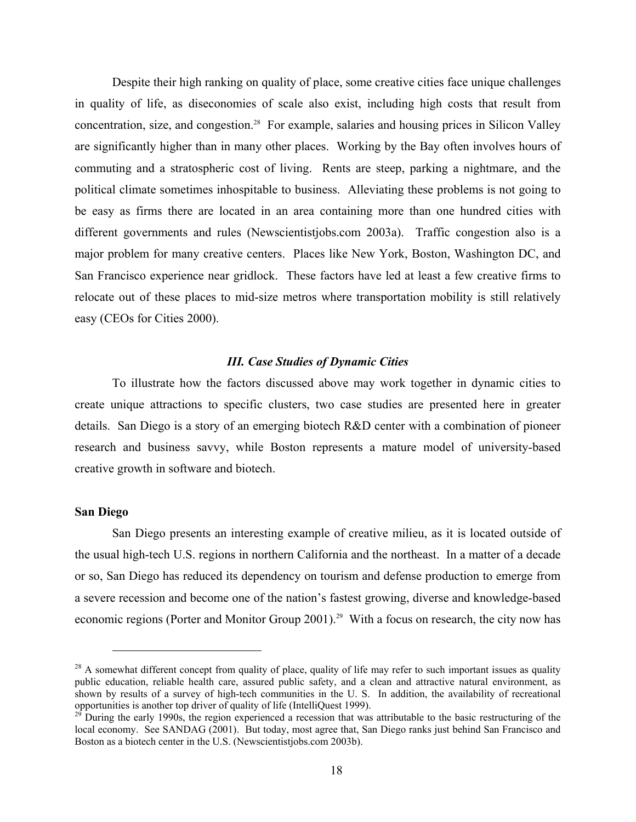Despite their high ranking on quality of place, some creative cities face unique challenges in quality of life, as diseconomies of scale also exist, including high costs that result from concentration, size, and congestion.28 For example, salaries and housing prices in Silicon Valley are significantly higher than in many other places. Working by the Bay often involves hours of commuting and a stratospheric cost of living. Rents are steep, parking a nightmare, and the political climate sometimes inhospitable to business. Alleviating these problems is not going to be easy as firms there are located in an area containing more than one hundred cities with different governments and rules (Newscientistjobs.com 2003a). Traffic congestion also is a major problem for many creative centers. Places like New York, Boston, Washington DC, and San Francisco experience near gridlock. These factors have led at least a few creative firms to relocate out of these places to mid-size metros where transportation mobility is still relatively easy (CEOs for Cities 2000).

### *III. Case Studies of Dynamic Cities*

To illustrate how the factors discussed above may work together in dynamic cities to create unique attractions to specific clusters, two case studies are presented here in greater details. San Diego is a story of an emerging biotech R&D center with a combination of pioneer research and business savvy, while Boston represents a mature model of university-based creative growth in software and biotech.

### **San Diego**

 $\overline{a}$ 

San Diego presents an interesting example of creative milieu, as it is located outside of the usual high-tech U.S. regions in northern California and the northeast. In a matter of a decade or so, San Diego has reduced its dependency on tourism and defense production to emerge from a severe recession and become one of the nation's fastest growing, diverse and knowledge-based economic regions (Porter and Monitor Group 2001).<sup>29</sup> With a focus on research, the city now has

 $^{28}$  A somewhat different concept from quality of place, quality of life may refer to such important issues as quality public education, reliable health care, assured public safety, and a clean and attractive natural environment, as shown by results of a survey of high-tech communities in the U. S. In addition, the availability of recreational opportunities is another top driver of quality of life (IntelliQuest 1999).

 $^{29}$  During the early 1990s, the region experienced a recession that was attributable to the basic restructuring of the local economy. See SANDAG (2001). But today, most agree that, San Diego ranks just behind San Francisco and Boston as a biotech center in the U.S. (Newscientistjobs.com 2003b).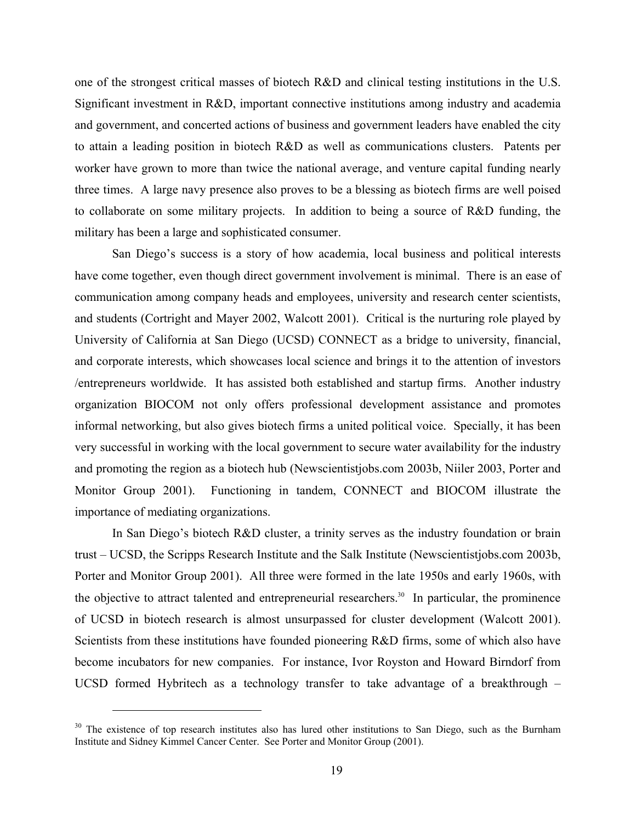one of the strongest critical masses of biotech R&D and clinical testing institutions in the U.S. Significant investment in R&D, important connective institutions among industry and academia and government, and concerted actions of business and government leaders have enabled the city to attain a leading position in biotech R&D as well as communications clusters. Patents per worker have grown to more than twice the national average, and venture capital funding nearly three times. A large navy presence also proves to be a blessing as biotech firms are well poised to collaborate on some military projects. In addition to being a source of R&D funding, the military has been a large and sophisticated consumer.

San Diego's success is a story of how academia, local business and political interests have come together, even though direct government involvement is minimal. There is an ease of communication among company heads and employees, university and research center scientists, and students (Cortright and Mayer 2002, Walcott 2001). Critical is the nurturing role played by University of California at San Diego (UCSD) CONNECT as a bridge to university, financial, and corporate interests, which showcases local science and brings it to the attention of investors /entrepreneurs worldwide. It has assisted both established and startup firms. Another industry organization BIOCOM not only offers professional development assistance and promotes informal networking, but also gives biotech firms a united political voice. Specially, it has been very successful in working with the local government to secure water availability for the industry and promoting the region as a biotech hub (Newscientistjobs.com 2003b, Niiler 2003, Porter and Monitor Group 2001). Functioning in tandem, CONNECT and BIOCOM illustrate the importance of mediating organizations.

In San Diego's biotech R&D cluster, a trinity serves as the industry foundation or brain trust – UCSD, the Scripps Research Institute and the Salk Institute (Newscientistjobs.com 2003b, Porter and Monitor Group 2001). All three were formed in the late 1950s and early 1960s, with the objective to attract talented and entrepreneurial researchers.<sup>30</sup> In particular, the prominence of UCSD in biotech research is almost unsurpassed for cluster development (Walcott 2001). Scientists from these institutions have founded pioneering R&D firms, some of which also have become incubators for new companies. For instance, Ivor Royston and Howard Birndorf from UCSD formed Hybritech as a technology transfer to take advantage of a breakthrough –

 $30$  The existence of top research institutes also has lured other institutions to San Diego, such as the Burnham Institute and Sidney Kimmel Cancer Center. See Porter and Monitor Group (2001).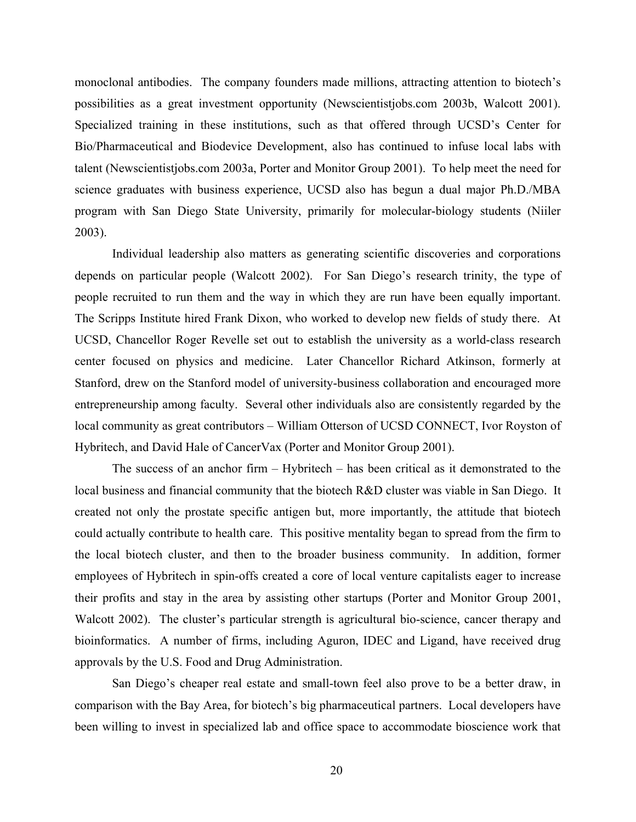monoclonal antibodies. The company founders made millions, attracting attention to biotech's possibilities as a great investment opportunity (Newscientistjobs.com 2003b, Walcott 2001). Specialized training in these institutions, such as that offered through UCSD's Center for Bio/Pharmaceutical and Biodevice Development, also has continued to infuse local labs with talent (Newscientistjobs.com 2003a, Porter and Monitor Group 2001). To help meet the need for science graduates with business experience, UCSD also has begun a dual major Ph.D./MBA program with San Diego State University, primarily for molecular-biology students (Niiler 2003).

Individual leadership also matters as generating scientific discoveries and corporations depends on particular people (Walcott 2002). For San Diego's research trinity, the type of people recruited to run them and the way in which they are run have been equally important. The Scripps Institute hired Frank Dixon, who worked to develop new fields of study there. At UCSD, Chancellor Roger Revelle set out to establish the university as a world-class research center focused on physics and medicine. Later Chancellor Richard Atkinson, formerly at Stanford, drew on the Stanford model of university-business collaboration and encouraged more entrepreneurship among faculty. Several other individuals also are consistently regarded by the local community as great contributors – William Otterson of UCSD CONNECT, Ivor Royston of Hybritech, and David Hale of CancerVax (Porter and Monitor Group 2001).

The success of an anchor firm – Hybritech – has been critical as it demonstrated to the local business and financial community that the biotech R&D cluster was viable in San Diego. It created not only the prostate specific antigen but, more importantly, the attitude that biotech could actually contribute to health care. This positive mentality began to spread from the firm to the local biotech cluster, and then to the broader business community. In addition, former employees of Hybritech in spin-offs created a core of local venture capitalists eager to increase their profits and stay in the area by assisting other startups (Porter and Monitor Group 2001, Walcott 2002). The cluster's particular strength is agricultural bio-science, cancer therapy and bioinformatics. A number of firms, including Aguron, IDEC and Ligand, have received drug approvals by the U.S. Food and Drug Administration.

San Diego's cheaper real estate and small-town feel also prove to be a better draw, in comparison with the Bay Area, for biotech's big pharmaceutical partners. Local developers have been willing to invest in specialized lab and office space to accommodate bioscience work that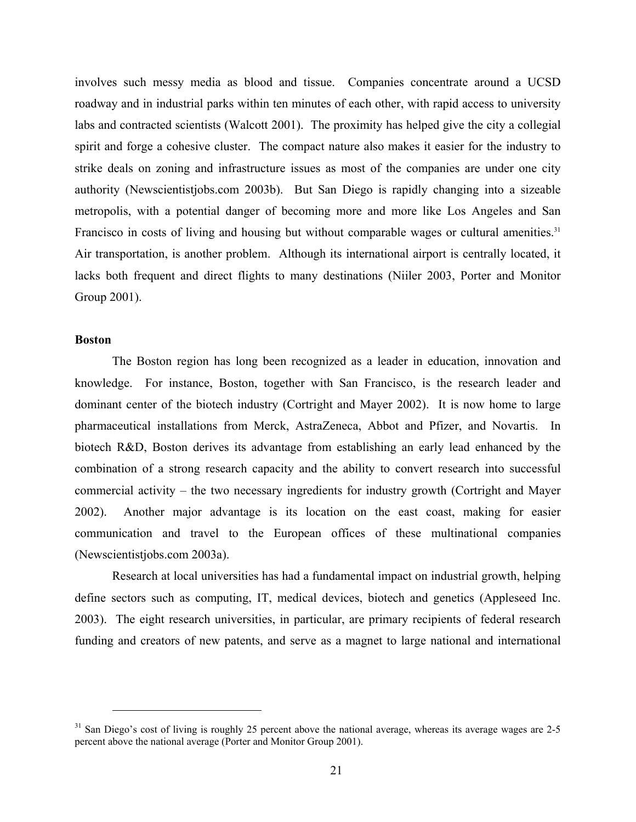involves such messy media as blood and tissue. Companies concentrate around a UCSD roadway and in industrial parks within ten minutes of each other, with rapid access to university labs and contracted scientists (Walcott 2001). The proximity has helped give the city a collegial spirit and forge a cohesive cluster. The compact nature also makes it easier for the industry to strike deals on zoning and infrastructure issues as most of the companies are under one city authority (Newscientistjobs.com 2003b). But San Diego is rapidly changing into a sizeable metropolis, with a potential danger of becoming more and more like Los Angeles and San Francisco in costs of living and housing but without comparable wages or cultural amenities.<sup>31</sup> Air transportation, is another problem. Although its international airport is centrally located, it lacks both frequent and direct flights to many destinations (Niiler 2003, Porter and Monitor Group 2001).

### **Boston**

 $\overline{a}$ 

The Boston region has long been recognized as a leader in education, innovation and knowledge. For instance, Boston, together with San Francisco, is the research leader and dominant center of the biotech industry (Cortright and Mayer 2002). It is now home to large pharmaceutical installations from Merck, AstraZeneca, Abbot and Pfizer, and Novartis. In biotech R&D, Boston derives its advantage from establishing an early lead enhanced by the combination of a strong research capacity and the ability to convert research into successful commercial activity – the two necessary ingredients for industry growth (Cortright and Mayer 2002). Another major advantage is its location on the east coast, making for easier communication and travel to the European offices of these multinational companies (Newscientistjobs.com 2003a).

Research at local universities has had a fundamental impact on industrial growth, helping define sectors such as computing, IT, medical devices, biotech and genetics (Appleseed Inc. 2003). The eight research universities, in particular, are primary recipients of federal research funding and creators of new patents, and serve as a magnet to large national and international

<sup>&</sup>lt;sup>31</sup> San Diego's cost of living is roughly 25 percent above the national average, whereas its average wages are 2-5 percent above the national average (Porter and Monitor Group 2001).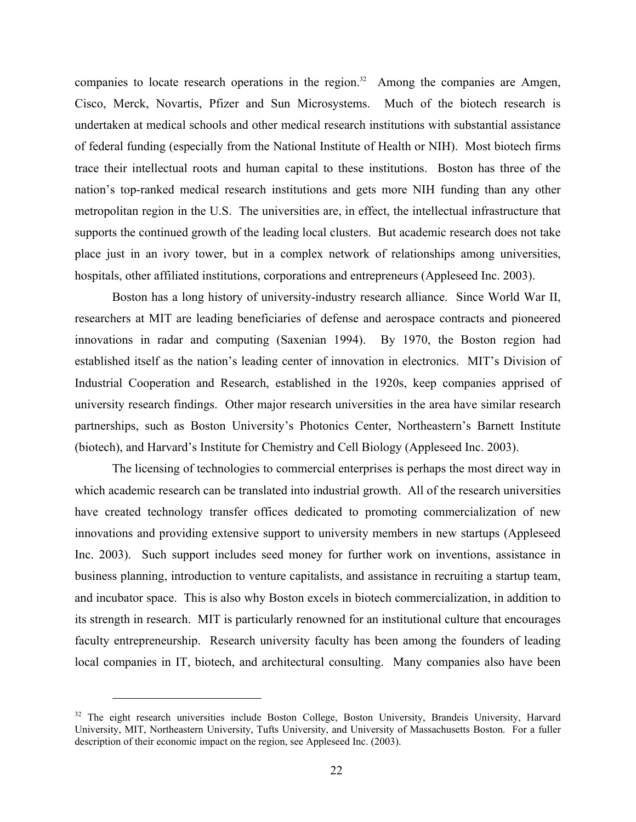companies to locate research operations in the region.<sup>32</sup> Among the companies are Amgen, Cisco, Merck, Novartis, Pfizer and Sun Microsystems. Much of the biotech research is undertaken at medical schools and other medical research institutions with substantial assistance of federal funding (especially from the National Institute of Health or NIH). Most biotech firms trace their intellectual roots and human capital to these institutions. Boston has three of the nation's top-ranked medical research institutions and gets more NIH funding than any other metropolitan region in the U.S. The universities are, in effect, the intellectual infrastructure that supports the continued growth of the leading local clusters. But academic research does not take place just in an ivory tower, but in a complex network of relationships among universities, hospitals, other affiliated institutions, corporations and entrepreneurs (Appleseed Inc. 2003).

Boston has a long history of university-industry research alliance. Since World War II, researchers at MIT are leading beneficiaries of defense and aerospace contracts and pioneered innovations in radar and computing (Saxenian 1994). By 1970, the Boston region had established itself as the nation's leading center of innovation in electronics. MIT's Division of Industrial Cooperation and Research, established in the 1920s, keep companies apprised of university research findings. Other major research universities in the area have similar research partnerships, such as Boston University's Photonics Center, Northeastern's Barnett Institute (biotech), and Harvard's Institute for Chemistry and Cell Biology (Appleseed Inc. 2003).

The licensing of technologies to commercial enterprises is perhaps the most direct way in which academic research can be translated into industrial growth. All of the research universities have created technology transfer offices dedicated to promoting commercialization of new innovations and providing extensive support to university members in new startups (Appleseed Inc. 2003). Such support includes seed money for further work on inventions, assistance in business planning, introduction to venture capitalists, and assistance in recruiting a startup team, and incubator space. This is also why Boston excels in biotech commercialization, in addition to its strength in research. MIT is particularly renowned for an institutional culture that encourages faculty entrepreneurship. Research university faculty has been among the founders of leading local companies in IT, biotech, and architectural consulting. Many companies also have been

<sup>&</sup>lt;sup>32</sup> The eight research universities include Boston College, Boston University, Brandeis University, Harvard University, MIT, Northeastern University, Tufts University, and University of Massachusetts Boston. For a fuller description of their economic impact on the region, see Appleseed Inc. (2003).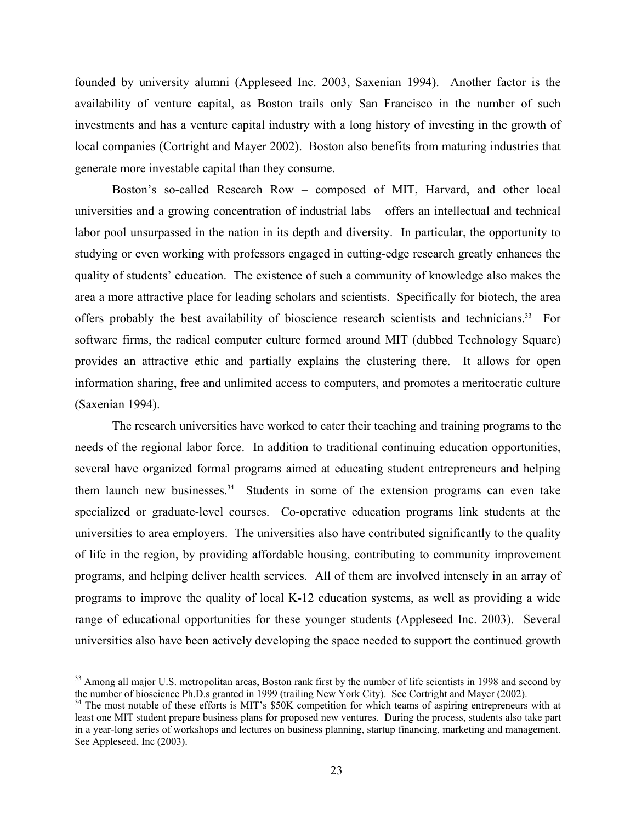founded by university alumni (Appleseed Inc. 2003, Saxenian 1994). Another factor is the availability of venture capital, as Boston trails only San Francisco in the number of such investments and has a venture capital industry with a long history of investing in the growth of local companies (Cortright and Mayer 2002). Boston also benefits from maturing industries that generate more investable capital than they consume.

Boston's so-called Research Row – composed of MIT, Harvard, and other local universities and a growing concentration of industrial labs – offers an intellectual and technical labor pool unsurpassed in the nation in its depth and diversity. In particular, the opportunity to studying or even working with professors engaged in cutting-edge research greatly enhances the quality of students' education. The existence of such a community of knowledge also makes the area a more attractive place for leading scholars and scientists. Specifically for biotech, the area offers probably the best availability of bioscience research scientists and technicians.<sup>33</sup> For software firms, the radical computer culture formed around MIT (dubbed Technology Square) provides an attractive ethic and partially explains the clustering there. It allows for open information sharing, free and unlimited access to computers, and promotes a meritocratic culture (Saxenian 1994).

The research universities have worked to cater their teaching and training programs to the needs of the regional labor force. In addition to traditional continuing education opportunities, several have organized formal programs aimed at educating student entrepreneurs and helping them launch new businesses. $34$  Students in some of the extension programs can even take specialized or graduate-level courses. Co-operative education programs link students at the universities to area employers. The universities also have contributed significantly to the quality of life in the region, by providing affordable housing, contributing to community improvement programs, and helping deliver health services. All of them are involved intensely in an array of programs to improve the quality of local K-12 education systems, as well as providing a wide range of educational opportunities for these younger students (Appleseed Inc. 2003). Several universities also have been actively developing the space needed to support the continued growth

<sup>&</sup>lt;sup>33</sup> Among all major U.S. metropolitan areas, Boston rank first by the number of life scientists in 1998 and second by the number of bioscience Ph.D.s granted in 1999 (trailing New York City). See Cortright and Mayer (2002).<br><sup>34</sup> The most notable of these efforts is MIT's \$50K competition for which teams of aspiring entrepreneurs with at

least one MIT student prepare business plans for proposed new ventures. During the process, students also take part in a year-long series of workshops and lectures on business planning, startup financing, marketing and management. See Appleseed, Inc (2003).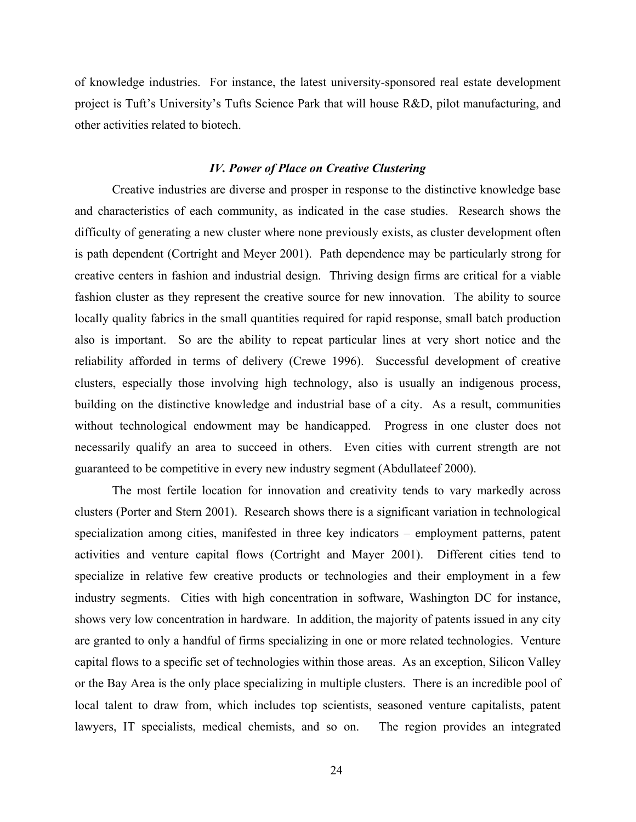of knowledge industries. For instance, the latest university-sponsored real estate development project is Tuft's University's Tufts Science Park that will house R&D, pilot manufacturing, and other activities related to biotech.

### *IV. Power of Place on Creative Clustering*

Creative industries are diverse and prosper in response to the distinctive knowledge base and characteristics of each community, as indicated in the case studies. Research shows the difficulty of generating a new cluster where none previously exists, as cluster development often is path dependent (Cortright and Meyer 2001). Path dependence may be particularly strong for creative centers in fashion and industrial design. Thriving design firms are critical for a viable fashion cluster as they represent the creative source for new innovation. The ability to source locally quality fabrics in the small quantities required for rapid response, small batch production also is important. So are the ability to repeat particular lines at very short notice and the reliability afforded in terms of delivery (Crewe 1996). Successful development of creative clusters, especially those involving high technology, also is usually an indigenous process, building on the distinctive knowledge and industrial base of a city. As a result, communities without technological endowment may be handicapped. Progress in one cluster does not necessarily qualify an area to succeed in others. Even cities with current strength are not guaranteed to be competitive in every new industry segment (Abdullateef 2000).

The most fertile location for innovation and creativity tends to vary markedly across clusters (Porter and Stern 2001). Research shows there is a significant variation in technological specialization among cities, manifested in three key indicators – employment patterns, patent activities and venture capital flows (Cortright and Mayer 2001). Different cities tend to specialize in relative few creative products or technologies and their employment in a few industry segments. Cities with high concentration in software, Washington DC for instance, shows very low concentration in hardware. In addition, the majority of patents issued in any city are granted to only a handful of firms specializing in one or more related technologies. Venture capital flows to a specific set of technologies within those areas. As an exception, Silicon Valley or the Bay Area is the only place specializing in multiple clusters. There is an incredible pool of local talent to draw from, which includes top scientists, seasoned venture capitalists, patent lawyers, IT specialists, medical chemists, and so on. The region provides an integrated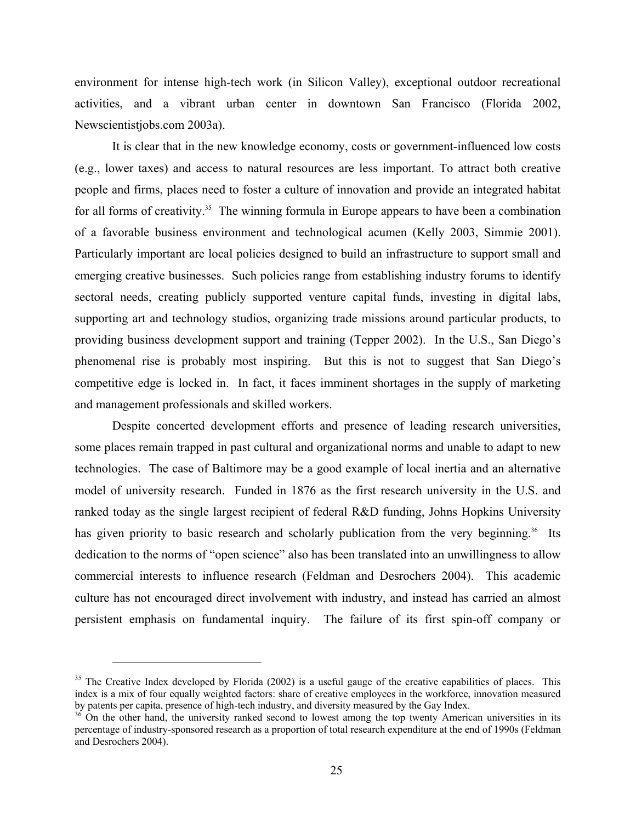environment for intense high-tech work (in Silicon Valley), exceptional outdoor recreational activities, and a vibrant urban center in downtown San Francisco (Florida 2002, Newscientistjobs.com 2003a).

It is clear that in the new knowledge economy, costs or government-influenced low costs (e.g., lower taxes) and access to natural resources are less important. To attract both creative people and firms, places need to foster a culture of innovation and provide an integrated habitat for all forms of creativity.<sup>35</sup> The winning formula in Europe appears to have been a combination of a favorable business environment and technological acumen (Kelly 2003, Simmie 2001). Particularly important are local policies designed to build an infrastructure to support small and emerging creative businesses. Such policies range from establishing industry forums to identify sectoral needs, creating publicly supported venture capital funds, investing in digital labs, supporting art and technology studios, organizing trade missions around particular products, to providing business development support and training (Tepper 2002). In the U.S., San Diego's phenomenal rise is probably most inspiring. But this is not to suggest that San Diego's competitive edge is locked in. In fact, it faces imminent shortages in the supply of marketing and management professionals and skilled workers.

Despite concerted development efforts and presence of leading research universities, some places remain trapped in past cultural and organizational norms and unable to adapt to new technologies. The case of Baltimore may be a good example of local inertia and an alternative model of university research. Funded in 1876 as the first research university in the U.S. and ranked today as the single largest recipient of federal R&D funding, Johns Hopkins University has given priority to basic research and scholarly publication from the very beginning.<sup>36</sup> Its dedication to the norms of "open science" also has been translated into an unwillingness to allow commercial interests to influence research (Feldman and Desrochers 2004). This academic culture has not encouraged direct involvement with industry, and instead has carried an almost persistent emphasis on fundamental inquiry. The failure of its first spin-off company or

1

 $35$  The Creative Index developed by Florida (2002) is a useful gauge of the creative capabilities of places. This index is a mix of four equally weighted factors: share of creative employees in the workforce, innovation measured by patents per capita, presence of high-tech industry, and diversity measured by the Gay Index.

<sup>&</sup>lt;sup>36</sup> On the other hand, the university ranked second to lowest among the top twenty American universities in its percentage of industry-sponsored research as a proportion of total research expenditure at the end of 1990s (Feldman and Desrochers 2004).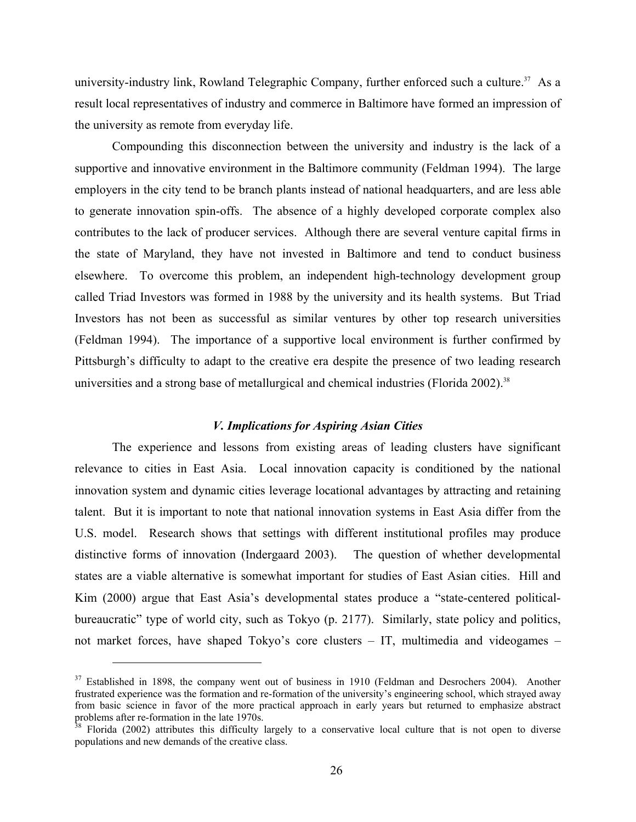university-industry link, Rowland Telegraphic Company, further enforced such a culture.<sup>37</sup> As a result local representatives of industry and commerce in Baltimore have formed an impression of the university as remote from everyday life.

Compounding this disconnection between the university and industry is the lack of a supportive and innovative environment in the Baltimore community (Feldman 1994). The large employers in the city tend to be branch plants instead of national headquarters, and are less able to generate innovation spin-offs. The absence of a highly developed corporate complex also contributes to the lack of producer services. Although there are several venture capital firms in the state of Maryland, they have not invested in Baltimore and tend to conduct business elsewhere. To overcome this problem, an independent high-technology development group called Triad Investors was formed in 1988 by the university and its health systems. But Triad Investors has not been as successful as similar ventures by other top research universities (Feldman 1994). The importance of a supportive local environment is further confirmed by Pittsburgh's difficulty to adapt to the creative era despite the presence of two leading research universities and a strong base of metallurgical and chemical industries (Florida 2002).<sup>38</sup>

### *V. Implications for Aspiring Asian Cities*

The experience and lessons from existing areas of leading clusters have significant relevance to cities in East Asia. Local innovation capacity is conditioned by the national innovation system and dynamic cities leverage locational advantages by attracting and retaining talent. But it is important to note that national innovation systems in East Asia differ from the U.S. model. Research shows that settings with different institutional profiles may produce distinctive forms of innovation (Indergaard 2003). The question of whether developmental states are a viable alternative is somewhat important for studies of East Asian cities. Hill and Kim (2000) argue that East Asia's developmental states produce a "state-centered politicalbureaucratic" type of world city, such as Tokyo (p. 2177). Similarly, state policy and politics, not market forces, have shaped Tokyo's core clusters – IT, multimedia and videogames –

 $37$  Established in 1898, the company went out of business in 1910 (Feldman and Desrochers 2004). Another frustrated experience was the formation and re-formation of the university's engineering school, which strayed away from basic science in favor of the more practical approach in early years but returned to emphasize abstract problems after re-formation in the late 1970s.

<sup>&</sup>lt;sup>38</sup> Florida (2002) attributes this difficulty largely to a conservative local culture that is not open to diverse populations and new demands of the creative class.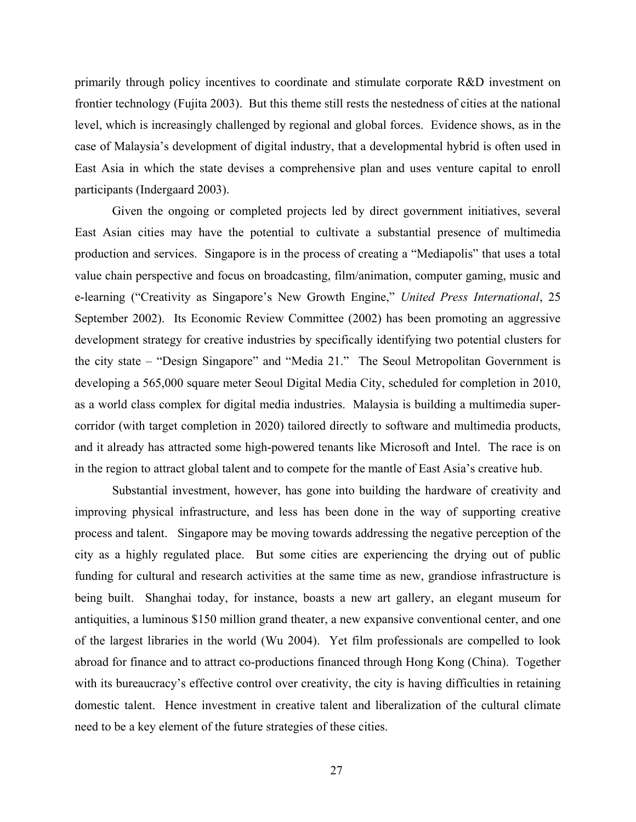primarily through policy incentives to coordinate and stimulate corporate R&D investment on frontier technology (Fujita 2003). But this theme still rests the nestedness of cities at the national level, which is increasingly challenged by regional and global forces. Evidence shows, as in the case of Malaysia's development of digital industry, that a developmental hybrid is often used in East Asia in which the state devises a comprehensive plan and uses venture capital to enroll participants (Indergaard 2003).

Given the ongoing or completed projects led by direct government initiatives, several East Asian cities may have the potential to cultivate a substantial presence of multimedia production and services. Singapore is in the process of creating a "Mediapolis" that uses a total value chain perspective and focus on broadcasting, film/animation, computer gaming, music and e-learning ("Creativity as Singapore's New Growth Engine," *United Press International*, 25 September 2002). Its Economic Review Committee (2002) has been promoting an aggressive development strategy for creative industries by specifically identifying two potential clusters for the city state – "Design Singapore" and "Media 21." The Seoul Metropolitan Government is developing a 565,000 square meter Seoul Digital Media City, scheduled for completion in 2010, as a world class complex for digital media industries. Malaysia is building a multimedia supercorridor (with target completion in 2020) tailored directly to software and multimedia products, and it already has attracted some high-powered tenants like Microsoft and Intel. The race is on in the region to attract global talent and to compete for the mantle of East Asia's creative hub.

Substantial investment, however, has gone into building the hardware of creativity and improving physical infrastructure, and less has been done in the way of supporting creative process and talent. Singapore may be moving towards addressing the negative perception of the city as a highly regulated place. But some cities are experiencing the drying out of public funding for cultural and research activities at the same time as new, grandiose infrastructure is being built. Shanghai today, for instance, boasts a new art gallery, an elegant museum for antiquities, a luminous \$150 million grand theater, a new expansive conventional center, and one of the largest libraries in the world (Wu 2004). Yet film professionals are compelled to look abroad for finance and to attract co-productions financed through Hong Kong (China). Together with its bureaucracy's effective control over creativity, the city is having difficulties in retaining domestic talent. Hence investment in creative talent and liberalization of the cultural climate need to be a key element of the future strategies of these cities.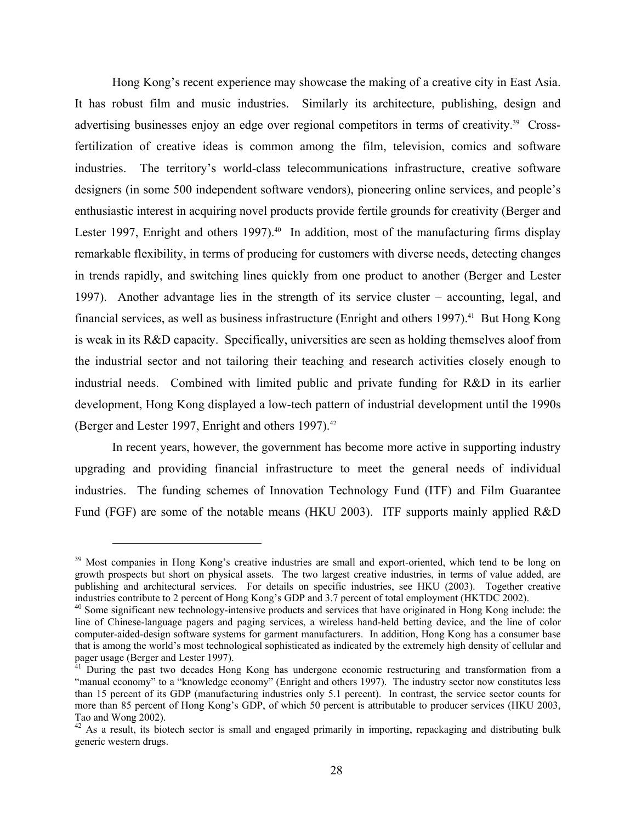Hong Kong's recent experience may showcase the making of a creative city in East Asia. It has robust film and music industries. Similarly its architecture, publishing, design and advertising businesses enjoy an edge over regional competitors in terms of creativity.<sup>39</sup> Crossfertilization of creative ideas is common among the film, television, comics and software industries. The territory's world-class telecommunications infrastructure, creative software designers (in some 500 independent software vendors), pioneering online services, and people's enthusiastic interest in acquiring novel products provide fertile grounds for creativity (Berger and Lester 1997, Enright and others 1997).<sup>40</sup> In addition, most of the manufacturing firms display remarkable flexibility, in terms of producing for customers with diverse needs, detecting changes in trends rapidly, and switching lines quickly from one product to another (Berger and Lester 1997). Another advantage lies in the strength of its service cluster – accounting, legal, and financial services, as well as business infrastructure (Enright and others 1997).<sup>41</sup> But Hong Kong is weak in its R&D capacity. Specifically, universities are seen as holding themselves aloof from the industrial sector and not tailoring their teaching and research activities closely enough to industrial needs. Combined with limited public and private funding for R&D in its earlier development, Hong Kong displayed a low-tech pattern of industrial development until the 1990s (Berger and Lester 1997, Enright and others 1997). $42$ 

In recent years, however, the government has become more active in supporting industry upgrading and providing financial infrastructure to meet the general needs of individual industries. The funding schemes of Innovation Technology Fund (ITF) and Film Guarantee Fund (FGF) are some of the notable means (HKU 2003). ITF supports mainly applied R&D

<sup>&</sup>lt;sup>39</sup> Most companies in Hong Kong's creative industries are small and export-oriented, which tend to be long on growth prospects but short on physical assets. The two largest creative industries, in terms of value added, are publishing and architectural services. For details on specific industries, see HKU (2003). Together creative industries contribute to 2 percent of Hong Kong's GDP and 3.7 percent of total employment (HKTDC 2002).

<sup>&</sup>lt;sup>40</sup> Some significant new technology-intensive products and services that have originated in Hong Kong include: the line of Chinese-language pagers and paging services, a wireless hand-held betting device, and the line of color computer-aided-design software systems for garment manufacturers. In addition, Hong Kong has a consumer base that is among the world's most technological sophisticated as indicated by the extremely high density of cellular and pager usage (Berger and Lester 1997).

<sup>41</sup> During the past two decades Hong Kong has undergone economic restructuring and transformation from a "manual economy" to a "knowledge economy" (Enright and others 1997). The industry sector now constitutes less than 15 percent of its GDP (manufacturing industries only 5.1 percent). In contrast, the service sector counts for more than 85 percent of Hong Kong's GDP, of which 50 percent is attributable to producer services (HKU 2003, Tao and Wong 2002).

<sup>&</sup>lt;sup>42</sup> As a result, its biotech sector is small and engaged primarily in importing, repackaging and distributing bulk generic western drugs.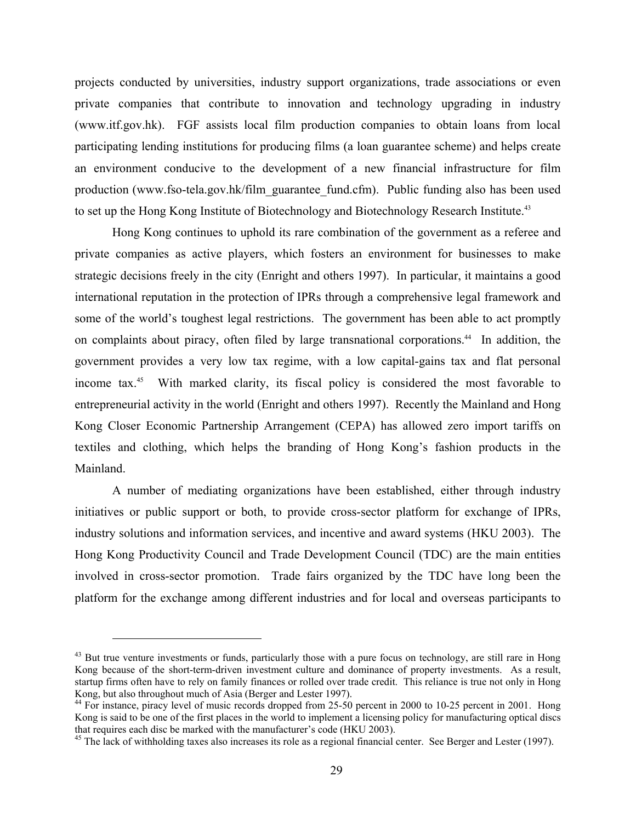projects conducted by universities, industry support organizations, trade associations or even private companies that contribute to innovation and technology upgrading in industry (www.itf.gov.hk). FGF assists local film production companies to obtain loans from local participating lending institutions for producing films (a loan guarantee scheme) and helps create an environment conducive to the development of a new financial infrastructure for film production (www.fso-tela.gov.hk/film\_guarantee\_fund.cfm). Public funding also has been used to set up the Hong Kong Institute of Biotechnology and Biotechnology Research Institute.<sup>43</sup>

Hong Kong continues to uphold its rare combination of the government as a referee and private companies as active players, which fosters an environment for businesses to make strategic decisions freely in the city (Enright and others 1997). In particular, it maintains a good international reputation in the protection of IPRs through a comprehensive legal framework and some of the world's toughest legal restrictions. The government has been able to act promptly on complaints about piracy, often filed by large transnational corporations.<sup>44</sup> In addition, the government provides a very low tax regime, with a low capital-gains tax and flat personal income tax.<sup>45</sup> With marked clarity, its fiscal policy is considered the most favorable to entrepreneurial activity in the world (Enright and others 1997). Recently the Mainland and Hong Kong Closer Economic Partnership Arrangement (CEPA) has allowed zero import tariffs on textiles and clothing, which helps the branding of Hong Kong's fashion products in the Mainland.

A number of mediating organizations have been established, either through industry initiatives or public support or both, to provide cross-sector platform for exchange of IPRs, industry solutions and information services, and incentive and award systems (HKU 2003). The Hong Kong Productivity Council and Trade Development Council (TDC) are the main entities involved in cross-sector promotion. Trade fairs organized by the TDC have long been the platform for the exchange among different industries and for local and overseas participants to

<u>.</u>

<sup>&</sup>lt;sup>43</sup> But true venture investments or funds, particularly those with a pure focus on technology, are still rare in Hong Kong because of the short-term-driven investment culture and dominance of property investments. As a result, startup firms often have to rely on family finances or rolled over trade credit. This reliance is true not only in Hong Kong, but also throughout much of Asia (Berger and Lester 1997).

<sup>&</sup>lt;sup>44</sup> For instance, piracy level of music records dropped from 25-50 percent in 2000 to 10-25 percent in 2001. Hong Kong is said to be one of the first places in the world to implement a licensing policy for manufacturing optical discs that requires each disc be marked with the manufacturer's code (HKU 2003).<br><sup>45</sup> The lack of withholding taxes also increases its role as a regional financial center. See Berger and Lester (1997).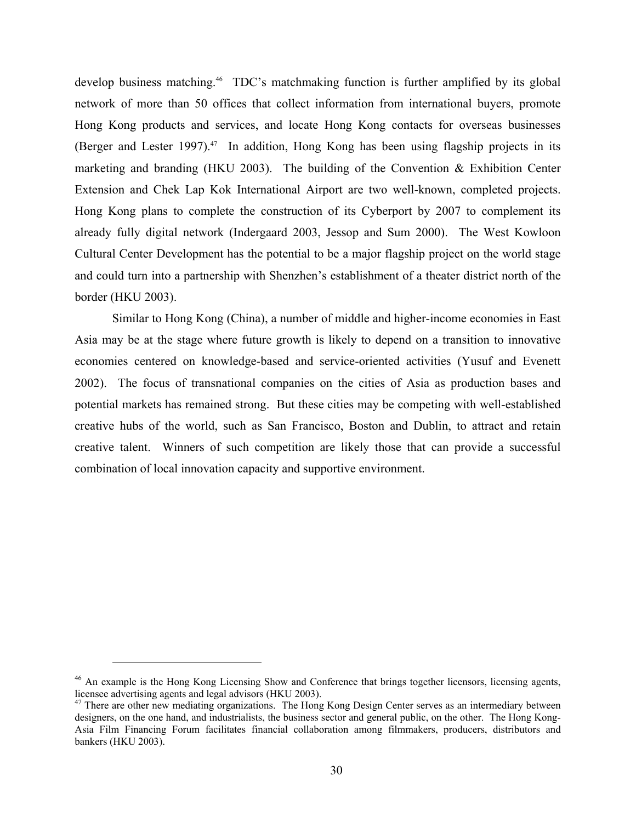develop business matching.<sup>46</sup> TDC's matchmaking function is further amplified by its global network of more than 50 offices that collect information from international buyers, promote Hong Kong products and services, and locate Hong Kong contacts for overseas businesses (Berger and Lester 1997).<sup>47</sup> In addition, Hong Kong has been using flagship projects in its marketing and branding (HKU 2003). The building of the Convention & Exhibition Center Extension and Chek Lap Kok International Airport are two well-known, completed projects. Hong Kong plans to complete the construction of its Cyberport by 2007 to complement its already fully digital network (Indergaard 2003, Jessop and Sum 2000). The West Kowloon Cultural Center Development has the potential to be a major flagship project on the world stage and could turn into a partnership with Shenzhen's establishment of a theater district north of the border (HKU 2003).

Similar to Hong Kong (China), a number of middle and higher-income economies in East Asia may be at the stage where future growth is likely to depend on a transition to innovative economies centered on knowledge-based and service-oriented activities (Yusuf and Evenett 2002). The focus of transnational companies on the cities of Asia as production bases and potential markets has remained strong. But these cities may be competing with well-established creative hubs of the world, such as San Francisco, Boston and Dublin, to attract and retain creative talent. Winners of such competition are likely those that can provide a successful combination of local innovation capacity and supportive environment.

<sup>&</sup>lt;sup>46</sup> An example is the Hong Kong Licensing Show and Conference that brings together licensors, licensing agents, licensee advertising agents and legal advisors (HKU 2003).<br><sup>47</sup> There are other new mediating organizations. The Hong Kong Design Center serves as an intermediary between

designers, on the one hand, and industrialists, the business sector and general public, on the other. The Hong Kong-Asia Film Financing Forum facilitates financial collaboration among filmmakers, producers, distributors and bankers (HKU 2003).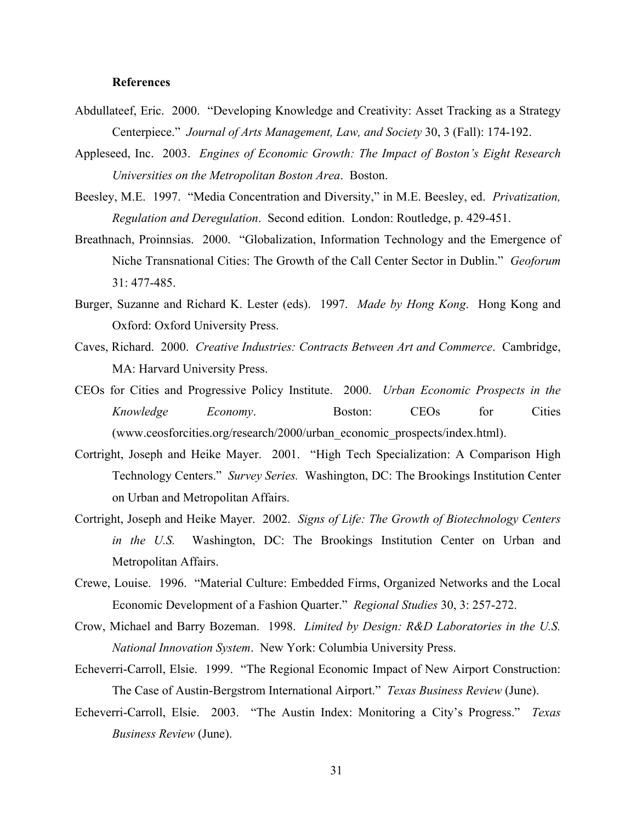### **References**

- Abdullateef, Eric. 2000. "Developing Knowledge and Creativity: Asset Tracking as a Strategy Centerpiece." *Journal of Arts Management, Law, and Society* 30, 3 (Fall): 174-192.
- Appleseed, Inc. 2003. *Engines of Economic Growth: The Impact of Boston's Eight Research Universities on the Metropolitan Boston Area*. Boston.
- Beesley, M.E. 1997. "Media Concentration and Diversity," in M.E. Beesley, ed. *Privatization, Regulation and Deregulation*. Second edition. London: Routledge, p. 429-451.
- Breathnach, Proinnsias. 2000. "Globalization, Information Technology and the Emergence of Niche Transnational Cities: The Growth of the Call Center Sector in Dublin." *Geoforum* 31: 477-485.
- Burger, Suzanne and Richard K. Lester (eds). 1997. *Made by Hong Kong*. Hong Kong and Oxford: Oxford University Press.
- Caves, Richard. 2000. *Creative Industries: Contracts Between Art and Commerce*. Cambridge, MA: Harvard University Press.
- CEOs for Cities and Progressive Policy Institute. 2000. *Urban Economic Prospects in the Knowledge Economy*. Boston: CEOs for Cities (www.ceosforcities.org/research/2000/urban\_economic\_prospects/index.html).
- Cortright, Joseph and Heike Mayer. 2001. "High Tech Specialization: A Comparison High Technology Centers." *Survey Series.* Washington, DC: The Brookings Institution Center on Urban and Metropolitan Affairs.
- Cortright, Joseph and Heike Mayer. 2002. *Signs of Life: The Growth of Biotechnology Centers in the U.S.* Washington, DC: The Brookings Institution Center on Urban and Metropolitan Affairs.
- Crewe, Louise. 1996. "Material Culture: Embedded Firms, Organized Networks and the Local Economic Development of a Fashion Quarter." *Regional Studies* 30, 3: 257-272.
- Crow, Michael and Barry Bozeman. 1998. *Limited by Design: R&D Laboratories in the U.S. National Innovation System*. New York: Columbia University Press.
- Echeverri-Carroll, Elsie. 1999. "The Regional Economic Impact of New Airport Construction: The Case of Austin-Bergstrom International Airport." *Texas Business Review* (June).
- Echeverri-Carroll, Elsie. 2003. "The Austin Index: Monitoring a City's Progress." *Texas Business Review* (June).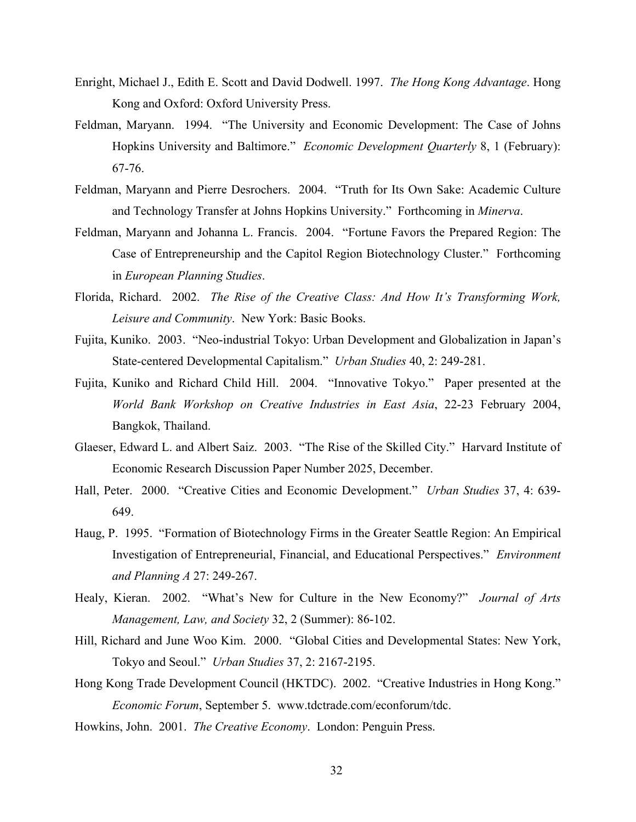- Enright, Michael J., Edith E. Scott and David Dodwell. 1997. *The Hong Kong Advantage*. Hong Kong and Oxford: Oxford University Press.
- Feldman, Maryann. 1994. "The University and Economic Development: The Case of Johns Hopkins University and Baltimore." *Economic Development Quarterly* 8, 1 (February): 67-76.
- Feldman, Maryann and Pierre Desrochers. 2004. "Truth for Its Own Sake: Academic Culture and Technology Transfer at Johns Hopkins University." Forthcoming in *Minerva*.
- Feldman, Maryann and Johanna L. Francis. 2004. "Fortune Favors the Prepared Region: The Case of Entrepreneurship and the Capitol Region Biotechnology Cluster." Forthcoming in *European Planning Studies*.
- Florida, Richard. 2002. *The Rise of the Creative Class: And How It's Transforming Work, Leisure and Community*. New York: Basic Books.
- Fujita, Kuniko. 2003. "Neo-industrial Tokyo: Urban Development and Globalization in Japan's State-centered Developmental Capitalism." *Urban Studies* 40, 2: 249-281.
- Fujita, Kuniko and Richard Child Hill. 2004. "Innovative Tokyo." Paper presented at the *World Bank Workshop on Creative Industries in East Asia*, 22-23 February 2004, Bangkok, Thailand.
- Glaeser, Edward L. and Albert Saiz. 2003. "The Rise of the Skilled City." Harvard Institute of Economic Research Discussion Paper Number 2025, December.
- Hall, Peter. 2000. "Creative Cities and Economic Development." *Urban Studies* 37, 4: 639- 649.
- Haug, P. 1995. "Formation of Biotechnology Firms in the Greater Seattle Region: An Empirical Investigation of Entrepreneurial, Financial, and Educational Perspectives." *Environment and Planning A* 27: 249-267.
- Healy, Kieran. 2002. "What's New for Culture in the New Economy?" *Journal of Arts Management, Law, and Society* 32, 2 (Summer): 86-102.
- Hill, Richard and June Woo Kim. 2000. "Global Cities and Developmental States: New York, Tokyo and Seoul." *Urban Studies* 37, 2: 2167-2195.
- Hong Kong Trade Development Council (HKTDC). 2002. "Creative Industries in Hong Kong." *Economic Forum*, September 5. www.tdctrade.com/econforum/tdc.
- Howkins, John. 2001. *The Creative Economy*. London: Penguin Press.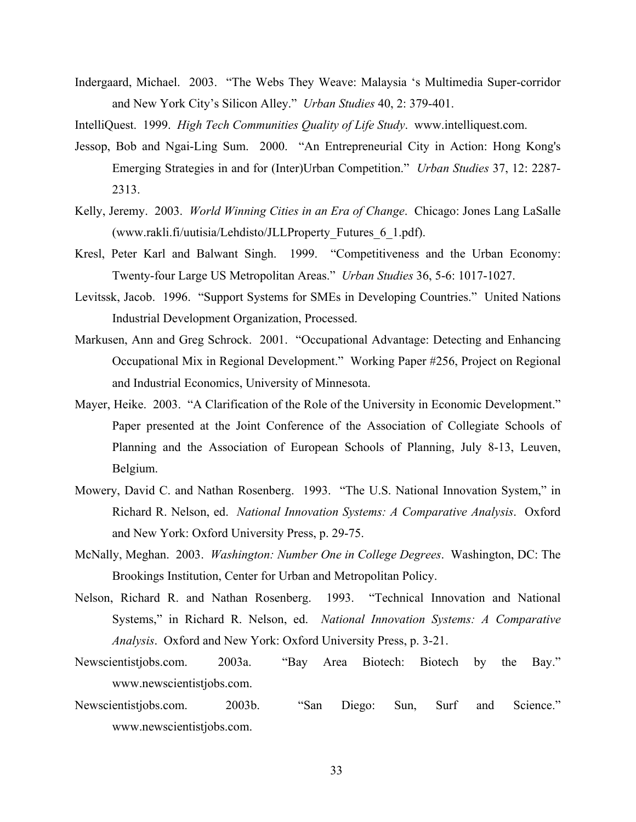- Indergaard, Michael. 2003. "The Webs They Weave: Malaysia 's Multimedia Super-corridor and New York City's Silicon Alley." *Urban Studies* 40, 2: 379-401.
- IntelliQuest. 1999. *High Tech Communities Quality of Life Study*. www.intelliquest.com.
- Jessop, Bob and Ngai-Ling Sum. 2000. "An Entrepreneurial City in Action: Hong Kong's Emerging Strategies in and for (Inter)Urban Competition." *Urban Studies* 37, 12: 2287- 2313.
- Kelly, Jeremy. 2003. *World Winning Cities in an Era of Change*. Chicago: Jones Lang LaSalle (www.rakli.fi/uutisia/Lehdisto/JLLProperty\_Futures\_6\_1.pdf).
- Kresl, Peter Karl and Balwant Singh. 1999. "Competitiveness and the Urban Economy: Twenty-four Large US Metropolitan Areas." *Urban Studies* 36, 5-6: 1017-1027.
- Levitssk, Jacob. 1996. "Support Systems for SMEs in Developing Countries." United Nations Industrial Development Organization, Processed.
- Markusen, Ann and Greg Schrock. 2001. "Occupational Advantage: Detecting and Enhancing Occupational Mix in Regional Development." Working Paper #256, Project on Regional and Industrial Economics, University of Minnesota.
- Mayer, Heike. 2003. "A Clarification of the Role of the University in Economic Development." Paper presented at the Joint Conference of the Association of Collegiate Schools of Planning and the Association of European Schools of Planning, July 8-13, Leuven, Belgium.
- Mowery, David C. and Nathan Rosenberg. 1993. "The U.S. National Innovation System," in Richard R. Nelson, ed. *National Innovation Systems: A Comparative Analysis*. Oxford and New York: Oxford University Press, p. 29-75.
- McNally, Meghan. 2003. *Washington: Number One in College Degrees*. Washington, DC: The Brookings Institution, Center for Urban and Metropolitan Policy.
- Nelson, Richard R. and Nathan Rosenberg. 1993. "Technical Innovation and National Systems," in Richard R. Nelson, ed. *National Innovation Systems: A Comparative Analysis*. Oxford and New York: Oxford University Press, p. 3-21.
- Newscientistjobs.com. 2003a. "Bay Area Biotech: Biotech by the Bay." www.newscientistjobs.com.
- Newscientistjobs.com. 2003b. "San Diego: Sun, Surf and Science." www.newscientistjobs.com.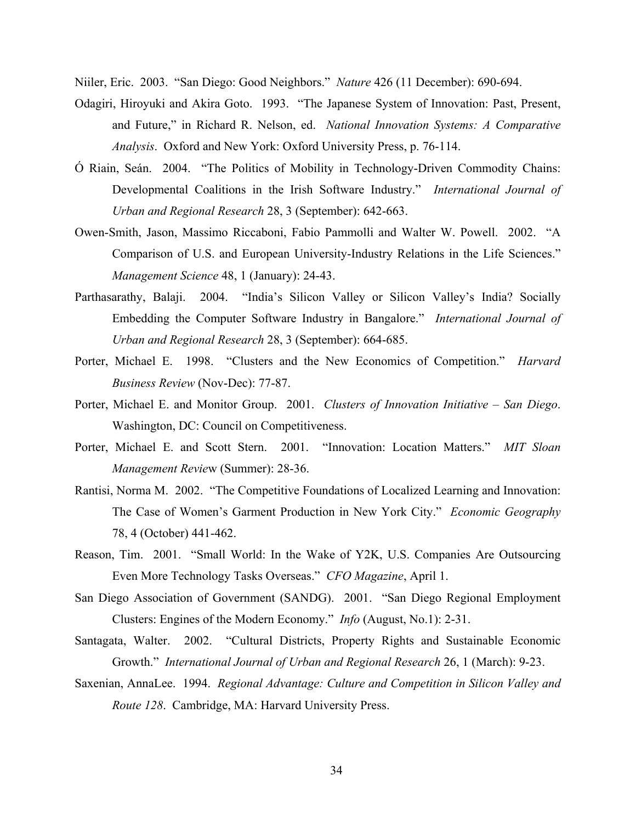Niiler, Eric. 2003. "San Diego: Good Neighbors." *Nature* 426 (11 December): 690-694.

- Odagiri, Hiroyuki and Akira Goto. 1993. "The Japanese System of Innovation: Past, Present, and Future," in Richard R. Nelson, ed. *National Innovation Systems: A Comparative Analysis*. Oxford and New York: Oxford University Press, p. 76-114.
- Ó Riain, Seán. 2004. "The Politics of Mobility in Technology-Driven Commodity Chains: Developmental Coalitions in the Irish Software Industry." *International Journal of Urban and Regional Research* 28, 3 (September): 642-663.
- Owen-Smith, Jason, Massimo Riccaboni, Fabio Pammolli and Walter W. Powell. 2002. "A Comparison of U.S. and European University-Industry Relations in the Life Sciences." *Management Science* 48, 1 (January): 24-43.
- Parthasarathy, Balaji. 2004. "India's Silicon Valley or Silicon Valley's India? Socially Embedding the Computer Software Industry in Bangalore." *International Journal of Urban and Regional Research* 28, 3 (September): 664-685.
- Porter, Michael E. 1998. "Clusters and the New Economics of Competition." *Harvard Business Review* (Nov-Dec): 77-87.
- Porter, Michael E. and Monitor Group. 2001. *Clusters of Innovation Initiative San Diego*. Washington, DC: Council on Competitiveness.
- Porter, Michael E. and Scott Stern. 2001. "Innovation: Location Matters." *MIT Sloan Management Revie*w (Summer): 28-36.
- Rantisi, Norma M. 2002. "The Competitive Foundations of Localized Learning and Innovation: The Case of Women's Garment Production in New York City." *Economic Geography* 78, 4 (October) 441-462.
- Reason, Tim. 2001. "Small World: In the Wake of Y2K, U.S. Companies Are Outsourcing Even More Technology Tasks Overseas." *CFO Magazine*, April 1.
- San Diego Association of Government (SANDG). 2001. "San Diego Regional Employment Clusters: Engines of the Modern Economy." *Info* (August, No.1): 2-31.
- Santagata, Walter. 2002. "Cultural Districts, Property Rights and Sustainable Economic Growth." *International Journal of Urban and Regional Research* 26, 1 (March): 9-23.
- Saxenian, AnnaLee. 1994. *Regional Advantage: Culture and Competition in Silicon Valley and Route 128*. Cambridge, MA: Harvard University Press.